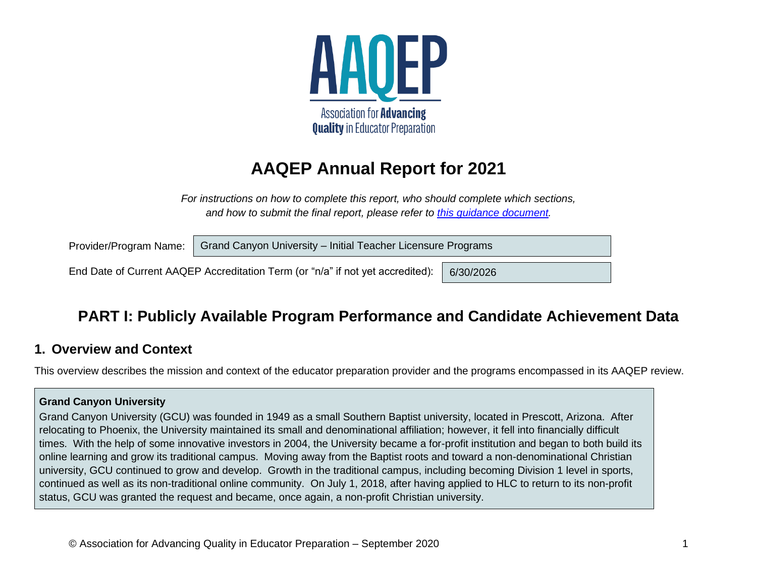

## **AAQEP Annual Report for 2021**

*For instructions on how to complete this report, who should complete which sections, and how to submit the final report, please refer to [this guidance document.](https://www.aaqep.org/files/2020-Annual-Report-Guidance.pdf)*

Grand Canyon University – Initial Teacher Licensure Programs Provider/Program Name:

End Date of Current AAQEP Accreditation Term (or "n/a" if not yet accredited): 6/30/2026

## **PART I: Publicly Available Program Performance and Candidate Achievement Data**

### **1. Overview and Context**

This overview describes the mission and context of the educator preparation provider and the programs encompassed in its AAQEP review.

#### **Grand Canyon University**

Grand Canyon University (GCU) was founded in 1949 as a small Southern Baptist university, located in Prescott, Arizona. After relocating to Phoenix, the University maintained its small and denominational affiliation; however, it fell into financially difficult times. With the help of some innovative investors in 2004, the University became a for-profit institution and began to both build its online learning and grow its traditional campus. Moving away from the Baptist roots and toward a non-denominational Christian university, GCU continued to grow and develop. Growth in the traditional campus, including becoming Division 1 level in sports, continued as well as its non-traditional online community. On July 1, 2018, after having applied to HLC to return to its non-profit status, GCU was granted the request and became, once again, a non-profit Christian university.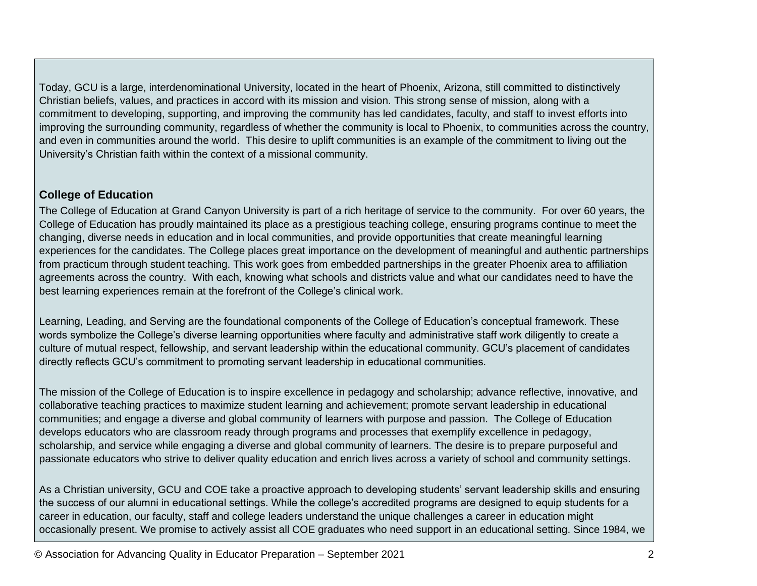Today, GCU is a large, interdenominational University, located in the heart of Phoenix, Arizona, still committed to distinctively Christian beliefs, values, and practices in accord with its mission and vision. This strong sense of mission, along with a commitment to developing, supporting, and improving the community has led candidates, faculty, and staff to invest efforts into improving the surrounding community, regardless of whether the community is local to Phoenix, to communities across the country, and even in communities around the world. This desire to uplift communities is an example of the commitment to living out the University's Christian faith within the context of a missional community.

#### **College of Education**

The College of Education at Grand Canyon University is part of a rich heritage of service to the community. For over 60 years, the College of Education has proudly maintained its place as a prestigious teaching college, ensuring programs continue to meet the changing, diverse needs in education and in local communities, and provide opportunities that create meaningful learning experiences for the candidates. The College places great importance on the development of meaningful and authentic partnerships from practicum through student teaching. This work goes from embedded partnerships in the greater Phoenix area to affiliation agreements across the country. With each, knowing what schools and districts value and what our candidates need to have the best learning experiences remain at the forefront of the College's clinical work.

Learning, Leading, and Serving are the foundational components of the College of Education's conceptual framework. These words symbolize the College's diverse learning opportunities where faculty and administrative staff work diligently to create a culture of mutual respect, fellowship, and servant leadership within the educational community. GCU's placement of candidates directly reflects GCU's commitment to promoting servant leadership in educational communities.

The mission of the College of Education is to inspire excellence in pedagogy and scholarship; advance reflective, innovative, and collaborative teaching practices to maximize student learning and achievement; promote servant leadership in educational communities; and engage a diverse and global community of learners with purpose and passion. The College of Education develops educators who are classroom ready through programs and processes that exemplify excellence in pedagogy, scholarship, and service while engaging a diverse and global community of learners. The desire is to prepare purposeful and passionate educators who strive to deliver quality education and enrich lives across a variety of school and community settings.

As a Christian university, GCU and COE take a proactive approach to developing students' servant leadership skills and ensuring the success of our alumni in educational settings. While the college's accredited programs are designed to equip students for a career in education, our faculty, staff and college leaders understand the unique challenges a career in education might occasionally present. We promise to actively assist all COE graduates who need support in an educational setting. Since 1984, we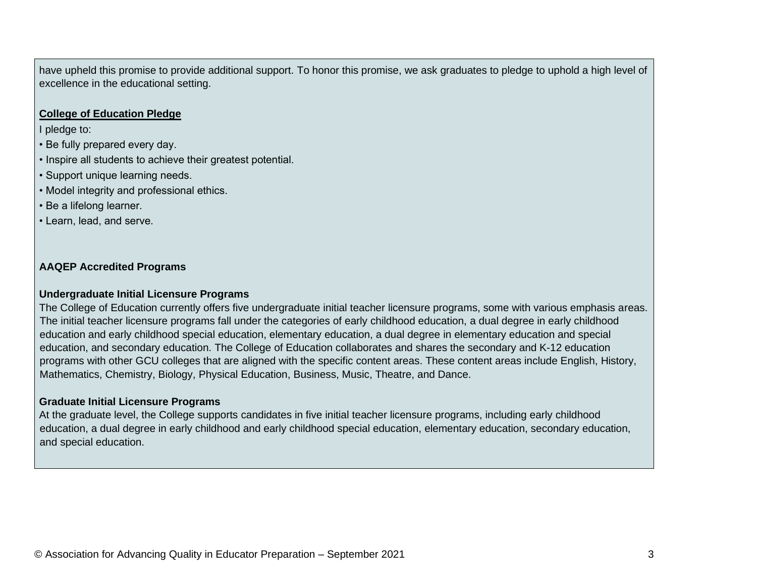have upheld this promise to provide additional support. To honor this promise, we ask graduates to pledge to uphold a high level of excellence in the educational setting.

#### **College of Education Pledge**

I pledge to:

- Be fully prepared every day.
- Inspire all students to achieve their greatest potential.
- Support unique learning needs.
- Model integrity and professional ethics.
- Be a lifelong learner.
- Learn, lead, and serve.

#### **AAQEP Accredited Programs**

#### **Undergraduate Initial Licensure Programs**

The College of Education currently offers five undergraduate initial teacher licensure programs, some with various emphasis areas. The initial teacher licensure programs fall under the categories of early childhood education, a dual degree in early childhood education and early childhood special education, elementary education, a dual degree in elementary education and special education, and secondary education. The College of Education collaborates and shares the secondary and K-12 education programs with other GCU colleges that are aligned with the specific content areas. These content areas include English, History, Mathematics, Chemistry, Biology, Physical Education, Business, Music, Theatre, and Dance.

#### **Graduate Initial Licensure Programs**

At the graduate level, the College supports candidates in five initial teacher licensure programs, including early childhood education, a dual degree in early childhood and early childhood special education, elementary education, secondary education, and special education.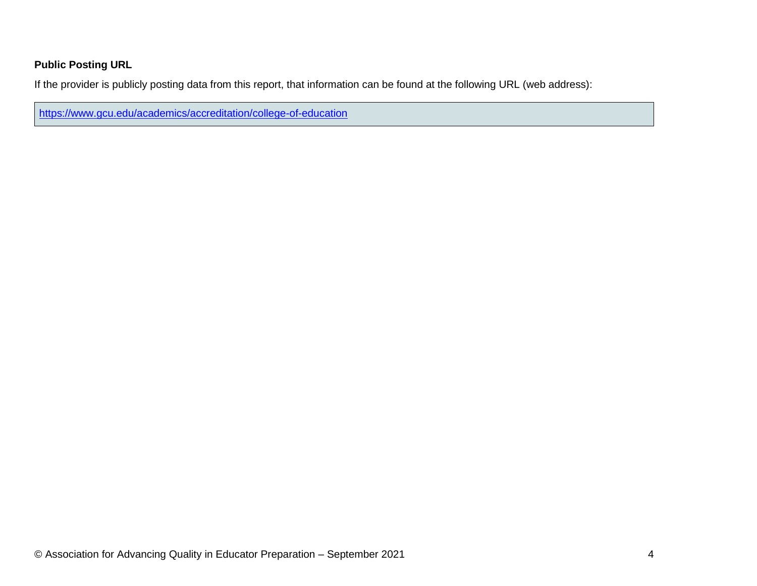#### **Public Posting URL**

If the provider is publicly posting data from this report, that information can be found at the following URL (web address):

<https://www.gcu.edu/academics/accreditation/college-of-education>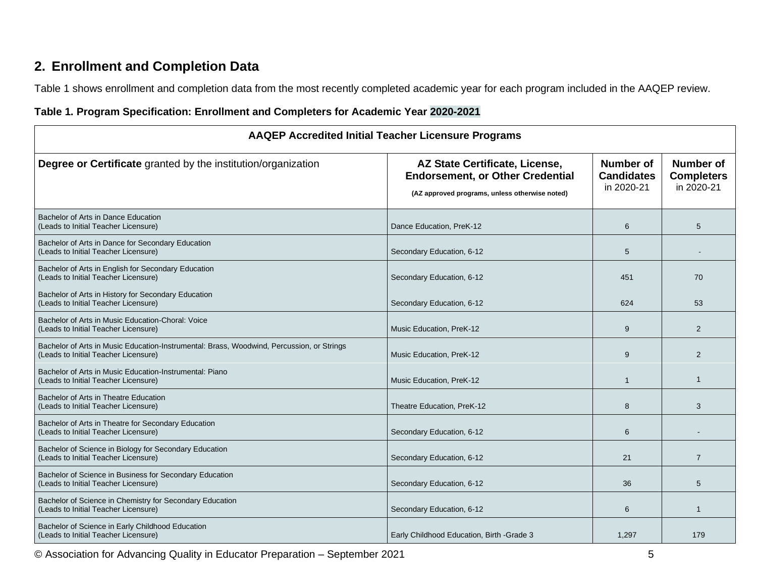## **2. Enrollment and Completion Data**

Table 1 shows enrollment and completion data from the most recently completed academic year for each program included in the AAQEP review.

#### **Table 1. Program Specification: Enrollment and Completers for Academic Year 2020-2021**

| <b>AAQEP Accredited Initial Teacher Licensure Programs</b>                                                                        |                                                                                                                             |                                              |                                                     |  |  |  |
|-----------------------------------------------------------------------------------------------------------------------------------|-----------------------------------------------------------------------------------------------------------------------------|----------------------------------------------|-----------------------------------------------------|--|--|--|
| <b>Degree or Certificate</b> granted by the institution/organization                                                              | AZ State Certificate, License,<br><b>Endorsement, or Other Credential</b><br>(AZ approved programs, unless otherwise noted) | Number of<br><b>Candidates</b><br>in 2020-21 | <b>Number of</b><br><b>Completers</b><br>in 2020-21 |  |  |  |
| Bachelor of Arts in Dance Education<br>(Leads to Initial Teacher Licensure)                                                       | Dance Education, PreK-12                                                                                                    | 6                                            | 5                                                   |  |  |  |
| Bachelor of Arts in Dance for Secondary Education<br>(Leads to Initial Teacher Licensure)                                         | Secondary Education, 6-12                                                                                                   | 5                                            |                                                     |  |  |  |
| Bachelor of Arts in English for Secondary Education<br>(Leads to Initial Teacher Licensure)                                       | Secondary Education, 6-12                                                                                                   | 451                                          | 70                                                  |  |  |  |
| Bachelor of Arts in History for Secondary Education<br>(Leads to Initial Teacher Licensure)                                       | Secondary Education, 6-12                                                                                                   | 624                                          | 53                                                  |  |  |  |
| Bachelor of Arts in Music Education-Choral: Voice<br>(Leads to Initial Teacher Licensure)                                         | Music Education, PreK-12                                                                                                    | 9                                            | 2                                                   |  |  |  |
| Bachelor of Arts in Music Education-Instrumental: Brass, Woodwind, Percussion, or Strings<br>(Leads to Initial Teacher Licensure) | Music Education, PreK-12                                                                                                    | 9                                            | 2                                                   |  |  |  |
| Bachelor of Arts in Music Education-Instrumental: Piano<br>(Leads to Initial Teacher Licensure)                                   | Music Education, PreK-12                                                                                                    | $\mathbf{1}$                                 | $\mathbf 1$                                         |  |  |  |
| Bachelor of Arts in Theatre Education<br>(Leads to Initial Teacher Licensure)                                                     | Theatre Education, PreK-12                                                                                                  | 8                                            | 3                                                   |  |  |  |
| Bachelor of Arts in Theatre for Secondary Education<br>(Leads to Initial Teacher Licensure)                                       | Secondary Education, 6-12                                                                                                   | 6                                            |                                                     |  |  |  |
| Bachelor of Science in Biology for Secondary Education<br>(Leads to Initial Teacher Licensure)                                    | Secondary Education, 6-12                                                                                                   | 21                                           | $\overline{7}$                                      |  |  |  |
| Bachelor of Science in Business for Secondary Education<br>(Leads to Initial Teacher Licensure)                                   | Secondary Education, 6-12                                                                                                   | 36                                           | 5                                                   |  |  |  |
| Bachelor of Science in Chemistry for Secondary Education<br>(Leads to Initial Teacher Licensure)                                  | Secondary Education, 6-12                                                                                                   | 6                                            | $\mathbf 1$                                         |  |  |  |
| Bachelor of Science in Early Childhood Education<br>(Leads to Initial Teacher Licensure)                                          | Early Childhood Education, Birth -Grade 3                                                                                   | 1,297                                        | 179                                                 |  |  |  |

© Association for Advancing Quality in Educator Preparation – September 2021 5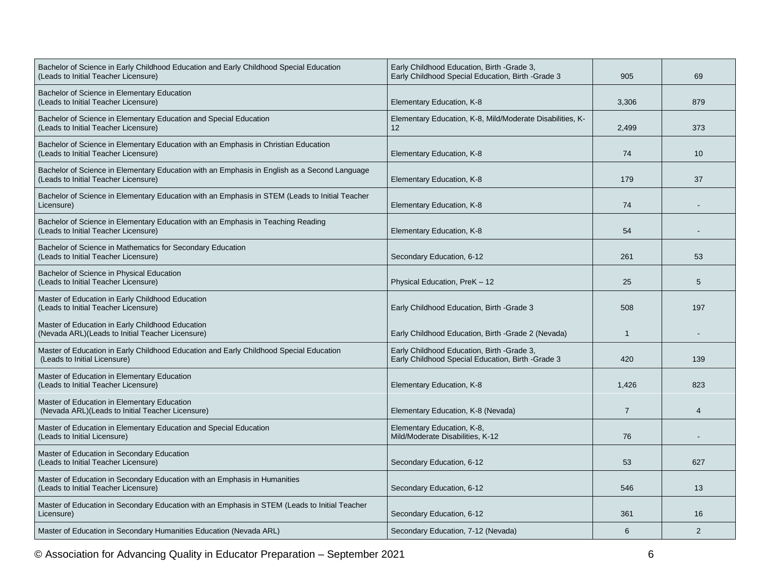| Bachelor of Science in Early Childhood Education and Early Childhood Special Education<br>(Leads to Initial Teacher Licensure)       | Early Childhood Education, Birth -Grade 3,<br>Early Childhood Special Education, Birth -Grade 3 | 905            | 69                    |
|--------------------------------------------------------------------------------------------------------------------------------------|-------------------------------------------------------------------------------------------------|----------------|-----------------------|
| Bachelor of Science in Elementary Education<br>(Leads to Initial Teacher Licensure)                                                  | Elementary Education, K-8                                                                       | 3,306          | 879                   |
| Bachelor of Science in Elementary Education and Special Education<br>(Leads to Initial Teacher Licensure)                            | Elementary Education, K-8, Mild/Moderate Disabilities, K-<br>12 <sup>2</sup>                    | 2,499          | 373                   |
| Bachelor of Science in Elementary Education with an Emphasis in Christian Education<br>(Leads to Initial Teacher Licensure)          | Elementary Education, K-8                                                                       | 74             | 10                    |
| Bachelor of Science in Elementary Education with an Emphasis in English as a Second Language<br>(Leads to Initial Teacher Licensure) | Elementary Education, K-8                                                                       | 179            | 37                    |
| Bachelor of Science in Elementary Education with an Emphasis in STEM (Leads to Initial Teacher<br>Licensure)                         | Elementary Education, K-8                                                                       | 74             |                       |
| Bachelor of Science in Elementary Education with an Emphasis in Teaching Reading<br>(Leads to Initial Teacher Licensure)             | Elementary Education, K-8                                                                       | 54             |                       |
| Bachelor of Science in Mathematics for Secondary Education<br>(Leads to Initial Teacher Licensure)                                   | Secondary Education, 6-12                                                                       | 261            | 53                    |
| Bachelor of Science in Physical Education<br>(Leads to Initial Teacher Licensure)                                                    | Physical Education, PreK - 12                                                                   | 25             | 5                     |
| Master of Education in Early Childhood Education<br>(Leads to Initial Teacher Licensure)                                             | Early Childhood Education, Birth -Grade 3                                                       | 508            | 197                   |
| Master of Education in Early Childhood Education<br>(Nevada ARL)(Leads to Initial Teacher Licensure)                                 | Early Childhood Education, Birth -Grade 2 (Nevada)                                              | $\mathbf{1}$   |                       |
| Master of Education in Early Childhood Education and Early Childhood Special Education<br>(Leads to Initial Licensure)               | Early Childhood Education, Birth -Grade 3,<br>Early Childhood Special Education, Birth -Grade 3 | 420            | 139                   |
| Master of Education in Elementary Education<br>(Leads to Initial Teacher Licensure)                                                  | Elementary Education, K-8                                                                       | 1.426          | 823                   |
| Master of Education in Elementary Education<br>(Nevada ARL)(Leads to Initial Teacher Licensure)                                      | Elementary Education, K-8 (Nevada)                                                              | $\overline{7}$ | $\boldsymbol{\Delta}$ |
| Master of Education in Elementary Education and Special Education<br>(Leads to Initial Licensure)                                    | Elementary Education, K-8,<br>Mild/Moderate Disabilities, K-12                                  | 76             |                       |
| Master of Education in Secondary Education<br>(Leads to Initial Teacher Licensure)                                                   | Secondary Education, 6-12                                                                       | 53             | 627                   |
| Master of Education in Secondary Education with an Emphasis in Humanities<br>(Leads to Initial Teacher Licensure)                    | Secondary Education, 6-12                                                                       | 546            | 13                    |
| Master of Education in Secondary Education with an Emphasis in STEM (Leads to Initial Teacher<br>Licensure)                          | Secondary Education, 6-12                                                                       | 361            | 16                    |
| Master of Education in Secondary Humanities Education (Nevada ARL)                                                                   | Secondary Education, 7-12 (Nevada)                                                              | 6              | 2                     |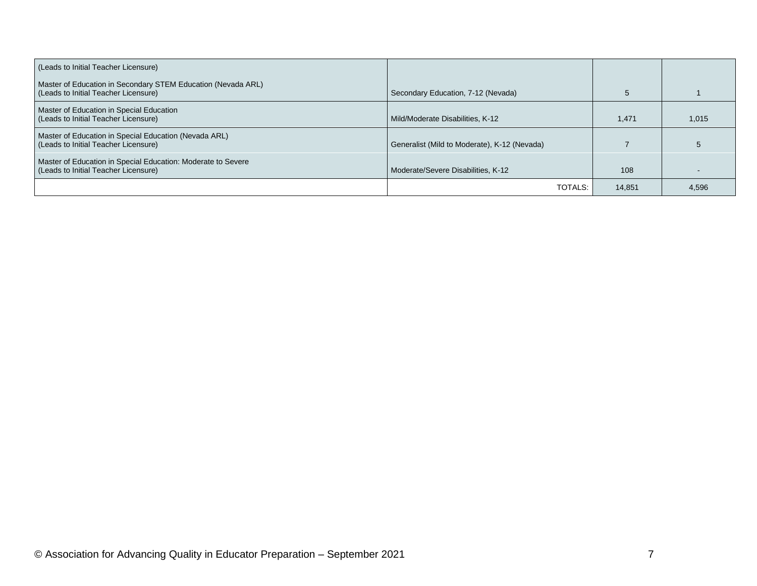| (Leads to Initial Teacher Licensure)                                                                 |                                              |        |       |
|------------------------------------------------------------------------------------------------------|----------------------------------------------|--------|-------|
| Master of Education in Secondary STEM Education (Nevada ARL)<br>(Leads to Initial Teacher Licensure) | Secondary Education, 7-12 (Nevada)           |        |       |
| Master of Education in Special Education<br>(Leads to Initial Teacher Licensure)                     | Mild/Moderate Disabilities, K-12             | 1.471  | 1,015 |
| Master of Education in Special Education (Nevada ARL)<br>(Leads to Initial Teacher Licensure)        | Generalist (Mild to Moderate), K-12 (Nevada) |        |       |
| Master of Education in Special Education: Moderate to Severe<br>(Leads to Initial Teacher Licensure) | Moderate/Severe Disabilities, K-12           | 108    |       |
|                                                                                                      | TOTALS:                                      | 14.851 | 4,596 |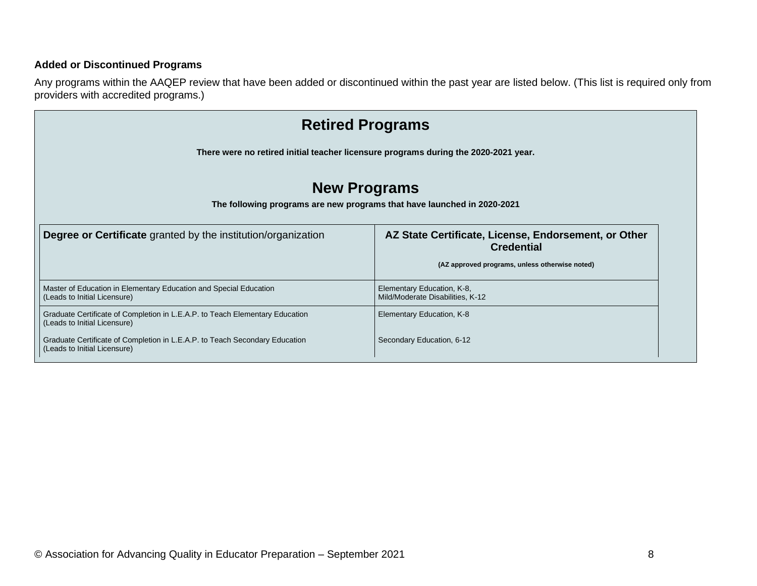#### **Added or Discontinued Programs**

Any programs within the AAQEP review that have been added or discontinued within the past year are listed below. (This list is required only from providers with accredited programs.)

| <b>Retired Programs</b>                                                                                      |                                                                                                                             |  |  |  |  |  |  |  |
|--------------------------------------------------------------------------------------------------------------|-----------------------------------------------------------------------------------------------------------------------------|--|--|--|--|--|--|--|
| There were no retired initial teacher licensure programs during the 2020-2021 year.                          |                                                                                                                             |  |  |  |  |  |  |  |
| <b>New Programs</b><br>The following programs are new programs that have launched in 2020-2021               |                                                                                                                             |  |  |  |  |  |  |  |
| <b>Degree or Certificate</b> granted by the institution/organization                                         | AZ State Certificate, License, Endorsement, or Other<br><b>Credential</b><br>(AZ approved programs, unless otherwise noted) |  |  |  |  |  |  |  |
| Master of Education in Elementary Education and Special Education<br>(Leads to Initial Licensure)            | Elementary Education, K-8,<br>Mild/Moderate Disabilities, K-12                                                              |  |  |  |  |  |  |  |
| Graduate Certificate of Completion in L.E.A.P. to Teach Elementary Education<br>(Leads to Initial Licensure) | Elementary Education, K-8                                                                                                   |  |  |  |  |  |  |  |
| Graduate Certificate of Completion in L.E.A.P. to Teach Secondary Education<br>(Leads to Initial Licensure)  | Secondary Education, 6-12                                                                                                   |  |  |  |  |  |  |  |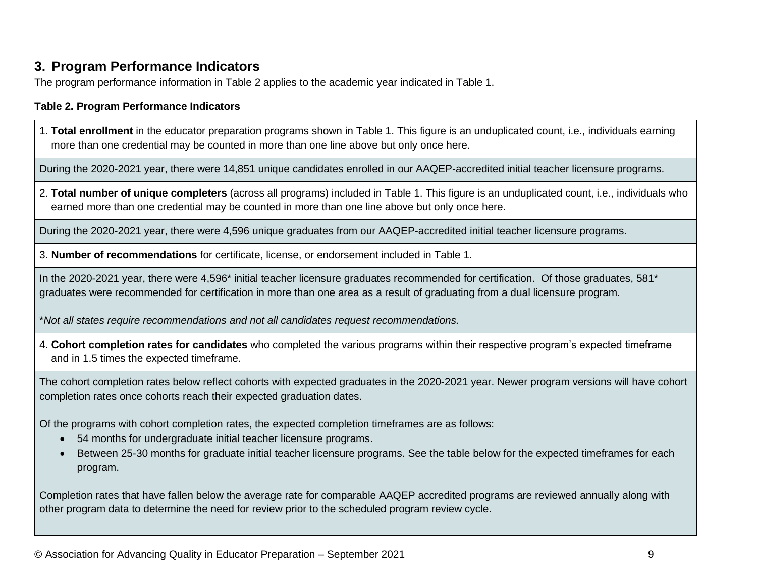### **3. Program Performance Indicators**

The program performance information in Table 2 applies to the academic year indicated in Table 1.

#### **Table 2. Program Performance Indicators**

1. **Total enrollment** in the educator preparation programs shown in Table 1. This figure is an unduplicated count, i.e., individuals earning more than one credential may be counted in more than one line above but only once here.

During the 2020-2021 year, there were 14,851 unique candidates enrolled in our AAQEP-accredited initial teacher licensure programs.

2. **Total number of unique completers** (across all programs) included in Table 1. This figure is an unduplicated count, i.e., individuals who earned more than one credential may be counted in more than one line above but only once here.

During the 2020-2021 year, there were 4,596 unique graduates from our AAQEP-accredited initial teacher licensure programs.

3. **Number of recommendations** for certificate, license, or endorsement included in Table 1.

In the 2020-2021 year, there were 4,596\* initial teacher licensure graduates recommended for certification. Of those graduates, 581\* graduates were recommended for certification in more than one area as a result of graduating from a dual licensure program.

\**Not all states require recommendations and not all candidates request recommendations.*

4. **Cohort completion rates for candidates** who completed the various programs within their respective program's expected timeframe and in 1.5 times the expected timeframe.

The cohort completion rates below reflect cohorts with expected graduates in the 2020-2021 year. Newer program versions will have cohort completion rates once cohorts reach their expected graduation dates.

Of the programs with cohort completion rates, the expected completion timeframes are as follows:

- 54 months for undergraduate initial teacher licensure programs.
- Between 25-30 months for graduate initial teacher licensure programs. See the table below for the expected timeframes for each program.

Completion rates that have fallen below the average rate for comparable AAQEP accredited programs are reviewed annually along with other program data to determine the need for review prior to the scheduled program review cycle.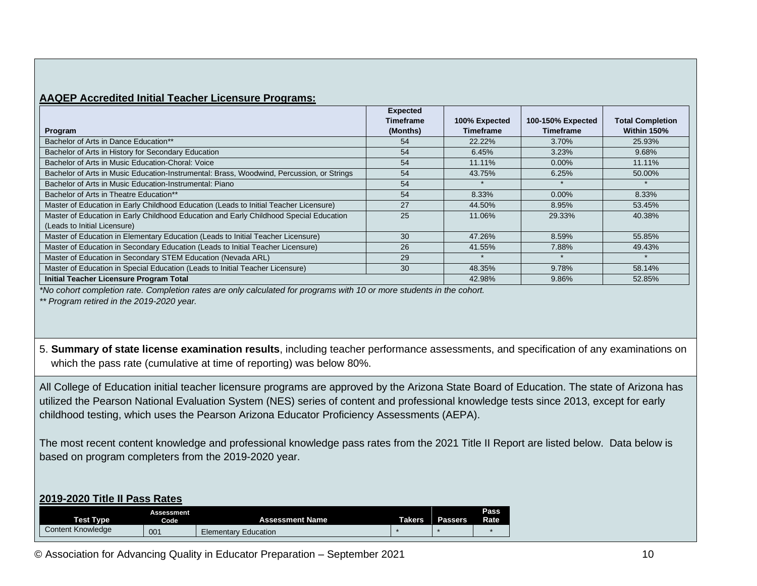#### **AAQEP Accredited Initial Teacher Licensure Programs:**

|                                                                                           | <b>Expected</b><br><b>Timeframe</b> | 100% Expected    | 100-150% Expected | <b>Total Completion</b> |
|-------------------------------------------------------------------------------------------|-------------------------------------|------------------|-------------------|-------------------------|
| Program                                                                                   | (Months)                            | <b>Timeframe</b> | Timeframe         | Within 150%             |
| Bachelor of Arts in Dance Education**                                                     | 54                                  | 22.22%           | 3.70%             | 25.93%                  |
| Bachelor of Arts in History for Secondary Education                                       | 54                                  | 6.45%            | 3.23%             | 9.68%                   |
| Bachelor of Arts in Music Education-Choral: Voice                                         | 54                                  | 11.11%           | $0.00\%$          | 11.11%                  |
| Bachelor of Arts in Music Education-Instrumental: Brass, Woodwind, Percussion, or Strings | 54                                  | 43.75%           | 6.25%             | 50.00%                  |
| Bachelor of Arts in Music Education-Instrumental: Piano                                   | 54                                  |                  |                   |                         |
| Bachelor of Arts in Theatre Education**                                                   | 54                                  | 8.33%            | $0.00\%$          | 8.33%                   |
| Master of Education in Early Childhood Education (Leads to Initial Teacher Licensure)     | 27                                  | 44.50%           | 8.95%             | 53.45%                  |
| Master of Education in Early Childhood Education and Early Childhood Special Education    | 25                                  | 11.06%           | 29.33%            | 40.38%                  |
| (Leads to Initial Licensure)                                                              |                                     |                  |                   |                         |
| Master of Education in Elementary Education (Leads to Initial Teacher Licensure)          | 30                                  | 47.26%           | 8.59%             | 55.85%                  |
| Master of Education in Secondary Education (Leads to Initial Teacher Licensure)           | 26                                  | 41.55%           | 7.88%             | 49.43%                  |
| Master of Education in Secondary STEM Education (Nevada ARL)                              | 29                                  |                  |                   |                         |
| Master of Education in Special Education (Leads to Initial Teacher Licensure)             | 30                                  | 48.35%           | 9.78%             | 58.14%                  |
| Initial Teacher Licensure Program Total                                                   |                                     | 42.98%           | 9.86%             | 52.85%                  |

*\*No cohort completion rate. Completion rates are only calculated for programs with 10 or more students in the cohort.* 

*\*\* Program retired in the 2019-2020 year.* 

5. **Summary of state license examination results**, including teacher performance assessments, and specification of any examinations on which the pass rate (cumulative at time of reporting) was below 80%.

All College of Education initial teacher licensure programs are approved by the Arizona State Board of Education. The state of Arizona has utilized the Pearson National Evaluation System (NES) series of content and professional knowledge tests since 2013, except for early childhood testing, which uses the Pearson Arizona Educator Proficiency Assessments (AEPA).

The most recent content knowledge and professional knowledge pass rates from the 2021 Title II Report are listed below. Data below is based on program completers from the 2019-2020 year.

#### **2019-2020 Title II Pass Rates**

| <b>Test Type</b>         | Assessment<br><b>Code</b> | <b>Assessment Name</b>      | <b>Takers</b> | Passers | Pass<br>Rate |
|--------------------------|---------------------------|-----------------------------|---------------|---------|--------------|
| <b>Content Knowledge</b> | 001                       | <b>Elementary Education</b> |               |         |              |

© Association for Advancing Quality in Educator Preparation – September 2021 10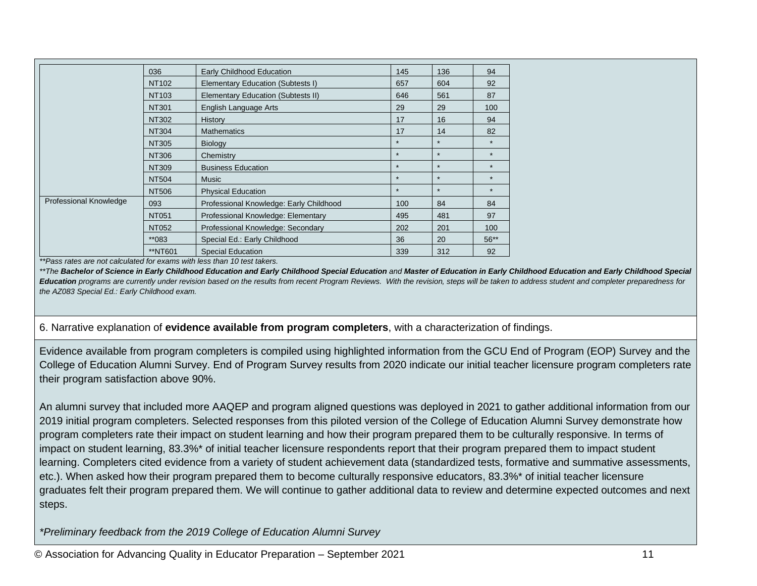|                               | 036          | Early Childhood Education               | 145     | 136     | 94      |
|-------------------------------|--------------|-----------------------------------------|---------|---------|---------|
|                               | NT102        | Elementary Education (Subtests I)       | 657     | 604     | 92      |
|                               | <b>NT103</b> | Elementary Education (Subtests II)      | 646     | 561     | 87      |
|                               | <b>NT301</b> | English Language Arts                   | 29      | 29      | 100     |
|                               | <b>NT302</b> | History                                 | 17      | 16      | 94      |
|                               | <b>NT304</b> | <b>Mathematics</b>                      | 17      | 14      | 82      |
|                               | <b>NT305</b> | <b>Biology</b>                          | $\star$ | $\star$ | $\star$ |
|                               | NT306        | Chemistry                               | $\star$ | $\star$ | $\star$ |
|                               | <b>NT309</b> | <b>Business Education</b>               | $\star$ | $\star$ | $\star$ |
|                               | <b>NT504</b> | <b>Music</b>                            | $\star$ | $\star$ | $\star$ |
|                               | <b>NT506</b> | <b>Physical Education</b>               | $\star$ | $\star$ | $\star$ |
| <b>Professional Knowledge</b> | 093          | Professional Knowledge: Early Childhood | 100     | 84      | 84      |
|                               | <b>NT051</b> | Professional Knowledge: Elementary      | 495     | 481     | 97      |
|                               | <b>NT052</b> | Professional Knowledge: Secondary       | 202     | 201     | 100     |
|                               | **083        | Special Ed.: Early Childhood            | 36      | 20      | $56**$  |
|                               | **NT601      | <b>Special Education</b>                | 339     | 312     | 92      |

*\*\*Pass rates are not calculated for exams with less than 10 test takers.* 

\*\*The Bachelor of Science in Early Childhood Education and Early Childhood Special Education and Master of Education in Early Childhood Education and Early Childhood Special Education programs are currently under revision based on the results from recent Program Reviews. With the revision, steps will be taken to address student and completer preparedness for *the AZ083 Special Ed.: Early Childhood exam.* 

6. Narrative explanation of **evidence available from program completers**, with a characterization of findings.

Evidence available from program completers is compiled using highlighted information from the GCU End of Program (EOP) Survey and the College of Education Alumni Survey. End of Program Survey results from 2020 indicate our initial teacher licensure program completers rate their program satisfaction above 90%.

An alumni survey that included more AAQEP and program aligned questions was deployed in 2021 to gather additional information from our 2019 initial program completers. Selected responses from this piloted version of the College of Education Alumni Survey demonstrate how program completers rate their impact on student learning and how their program prepared them to be culturally responsive. In terms of impact on student learning, 83.3%\* of initial teacher licensure respondents report that their program prepared them to impact student learning. Completers cited evidence from a variety of student achievement data (standardized tests, formative and summative assessments, etc.). When asked how their program prepared them to become culturally responsive educators, 83.3%\* of initial teacher licensure graduates felt their program prepared them. We will continue to gather additional data to review and determine expected outcomes and next steps.

*\*Preliminary feedback from the 2019 College of Education Alumni Survey*

© Association for Advancing Quality in Educator Preparation – September 2021 11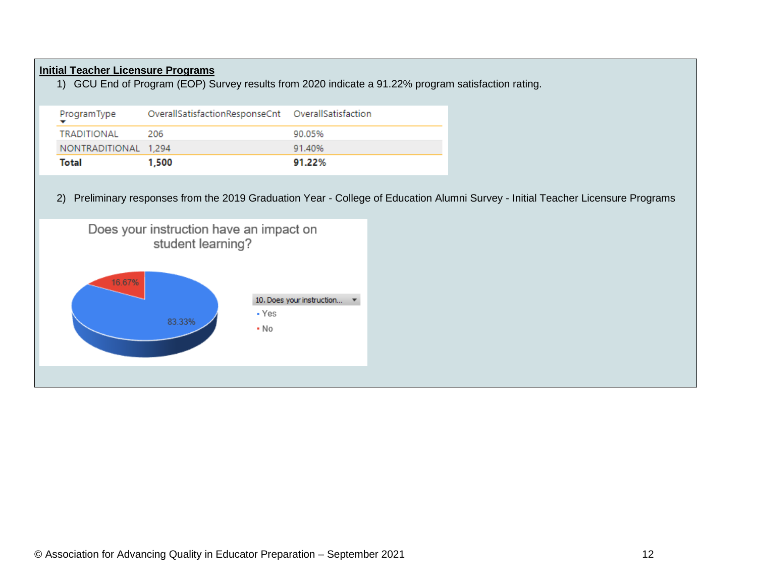#### **Initial Teacher Licensure Programs**

1) GCU End of Program (EOP) Survey results from 2020 indicate a 91.22% program satisfaction rating.

| ProgramType          | OverallSatisfactionResponseCnt    OverallSatisfaction |        |
|----------------------|-------------------------------------------------------|--------|
| TRADITIONAL          | -206                                                  | 90.05% |
| NONTRADITIONAL 1.294 |                                                       | 91.40% |
| Total                | 1.500                                                 | 91.22% |

2) Preliminary responses from the 2019 Graduation Year - College of Education Alumni Survey - Initial Teacher Licensure Programs

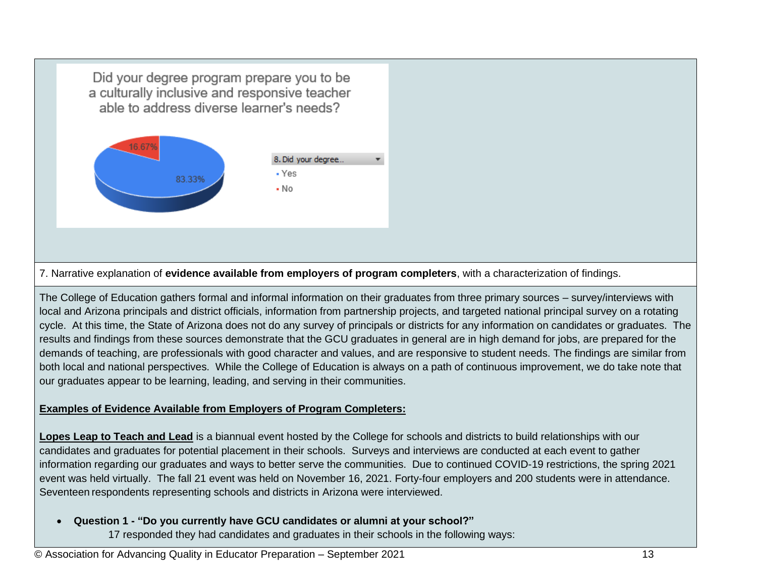Did your degree program prepare you to be a culturally inclusive and responsive teacher able to address diverse learner's needs?



7. Narrative explanation of **evidence available from employers of program completers**, with a characterization of findings.

The College of Education gathers formal and informal information on their graduates from three primary sources – survey/interviews with local and Arizona principals and district officials, information from partnership projects, and targeted national principal survey on a rotating cycle. At this time, the State of Arizona does not do any survey of principals or districts for any information on candidates or graduates. The results and findings from these sources demonstrate that the GCU graduates in general are in high demand for jobs, are prepared for the demands of teaching, are professionals with good character and values, and are responsive to student needs. The findings are similar from both local and national perspectives. While the College of Education is always on a path of continuous improvement, we do take note that our graduates appear to be learning, leading, and serving in their communities.

#### **Examples of Evidence Available from Employers of Program Completers:**

**Lopes Leap to Teach and Lead** is a biannual event hosted by the College for schools and districts to build relationships with our candidates and graduates for potential placement in their schools. Surveys and interviews are conducted at each event to gather information regarding our graduates and ways to better serve the communities. Due to continued COVID-19 restrictions, the spring 2021 event was held virtually. The fall 21 event was held on November 16, 2021. Forty-four employers and 200 students were in attendance. Seventeen respondents representing schools and districts in Arizona were interviewed.

• **Question 1 - "Do you currently have GCU candidates or alumni at your school?"**

17 responded they had candidates and graduates in their schools in the following ways: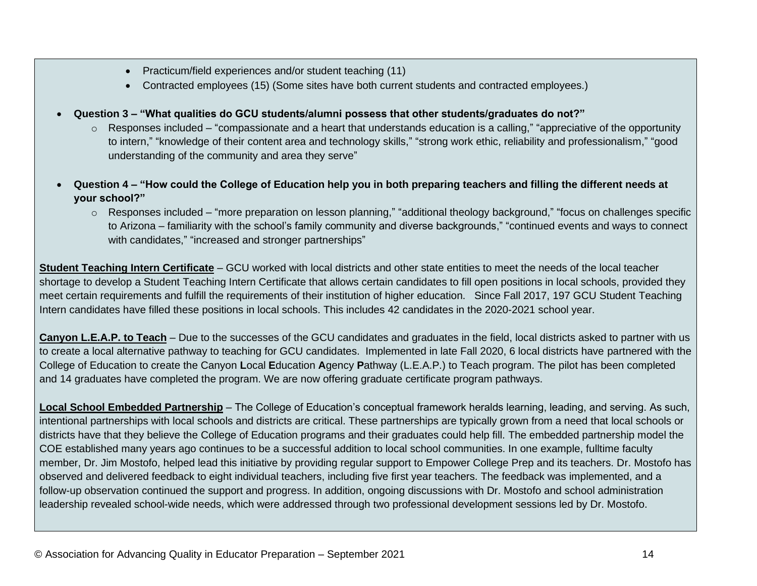- Practicum/field experiences and/or student teaching (11)
- Contracted employees (15) (Some sites have both current students and contracted employees.)
- **Question 3 – "What qualities do GCU students/alumni possess that other students/graduates do not?"**
	- $\circ$  Responses included "compassionate and a heart that understands education is a calling," "appreciative of the opportunity to intern," "knowledge of their content area and technology skills," "strong work ethic, reliability and professionalism," "good understanding of the community and area they serve"
- **Question 4 – "How could the College of Education help you in both preparing teachers and filling the different needs at your school?"**
	- o Responses included "more preparation on lesson planning," "additional theology background," "focus on challenges specific to Arizona – familiarity with the school's family community and diverse backgrounds," "continued events and ways to connect with candidates," "increased and stronger partnerships"

**Student Teaching Intern Certificate** – GCU worked with local districts and other state entities to meet the needs of the local teacher shortage to develop a Student Teaching Intern Certificate that allows certain candidates to fill open positions in local schools, provided they meet certain requirements and fulfill the requirements of their institution of higher education. Since Fall 2017, 197 GCU Student Teaching Intern candidates have filled these positions in local schools. This includes 42 candidates in the 2020-2021 school year.

**Canyon L.E.A.P. to Teach** – Due to the successes of the GCU candidates and graduates in the field, local districts asked to partner with us to create a local alternative pathway to teaching for GCU candidates. Implemented in late Fall 2020, 6 local districts have partnered with the College of Education to create the Canyon **L**ocal **E**ducation **A**gency **P**athway (L.E.A.P.) to Teach program. The pilot has been completed and 14 graduates have completed the program. We are now offering graduate certificate program pathways.

**Local School Embedded Partnership** – The College of Education's conceptual framework heralds learning, leading, and serving. As such, intentional partnerships with local schools and districts are critical. These partnerships are typically grown from a need that local schools or districts have that they believe the College of Education programs and their graduates could help fill. The embedded partnership model the COE established many years ago continues to be a successful addition to local school communities. In one example, fulltime faculty member, Dr. Jim Mostofo, helped lead this initiative by providing regular support to Empower College Prep and its teachers. Dr. Mostofo has observed and delivered feedback to eight individual teachers, including five first year teachers. The feedback was implemented, and a follow-up observation continued the support and progress. In addition, ongoing discussions with Dr. Mostofo and school administration leadership revealed school-wide needs, which were addressed through two professional development sessions led by Dr. Mostofo.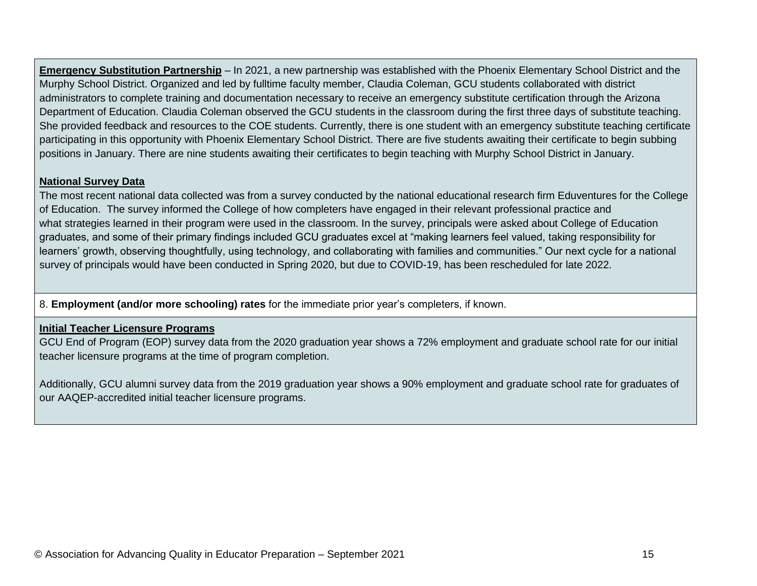**Emergency Substitution Partnership** – In 2021, a new partnership was established with the Phoenix Elementary School District and the Murphy School District. Organized and led by fulltime faculty member, Claudia Coleman, GCU students collaborated with district administrators to complete training and documentation necessary to receive an emergency substitute certification through the Arizona Department of Education. Claudia Coleman observed the GCU students in the classroom during the first three days of substitute teaching. She provided feedback and resources to the COE students. Currently, there is one student with an emergency substitute teaching certificate participating in this opportunity with Phoenix Elementary School District. There are five students awaiting their certificate to begin subbing positions in January. There are nine students awaiting their certificates to begin teaching with Murphy School District in January.

#### **National Survey Data**

The most recent national data collected was from a survey conducted by the national educational research firm Eduventures for the College of Education. The survey informed the College of how completers have engaged in their relevant professional practice and what strategies learned in their program were used in the classroom. In the survey, principals were asked about College of Education graduates, and some of their primary findings included GCU graduates excel at "making learners feel valued, taking responsibility for learners' growth, observing thoughtfully, using technology, and collaborating with families and communities." Our next cycle for a national survey of principals would have been conducted in Spring 2020, but due to COVID-19, has been rescheduled for late 2022.

8. **Employment (and/or more schooling) rates** for the immediate prior year's completers, if known.

#### **Initial Teacher Licensure Programs**

GCU End of Program (EOP) survey data from the 2020 graduation year shows a 72% employment and graduate school rate for our initial teacher licensure programs at the time of program completion.

Additionally, GCU alumni survey data from the 2019 graduation year shows a 90% employment and graduate school rate for graduates of our AAQEP-accredited initial teacher licensure programs.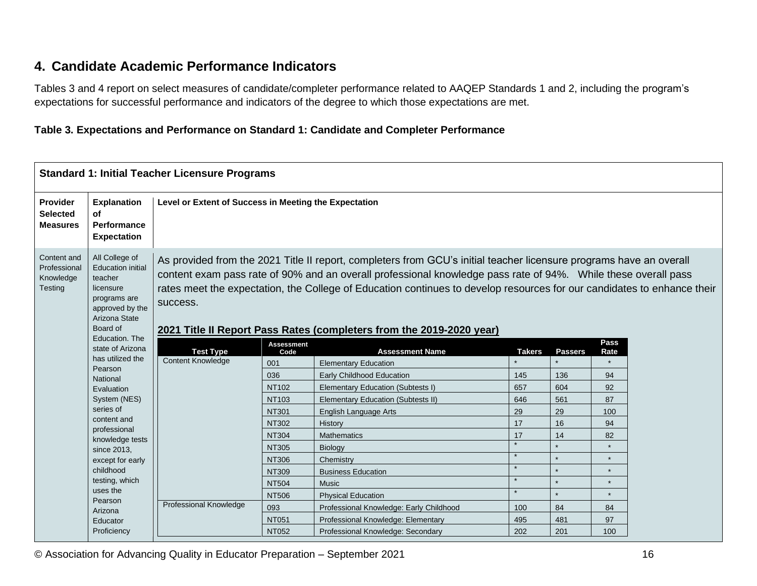## **4. Candidate Academic Performance Indicators**

Tables 3 and 4 report on select measures of candidate/completer performance related to AAQEP Standards 1 and 2, including the program's expectations for successful performance and indicators of the degree to which those expectations are met.

#### **Table 3. Expectations and Performance on Standard 1: Candidate and Completer Performance**

# **Standard 1: Initial Teacher Licensure Programs**

| <b>Provider</b><br><b>Selected</b><br><b>Measures</b> | <b>Explanation</b><br>οf<br><b>Performance</b><br><b>Expectation</b>                                                                                 | Level or Extent of Success in Meeting the Expectation |                                                                                                                                                                                                                                                                                                                                                                                                                                          |                                           |               |                |              |  |  |
|-------------------------------------------------------|------------------------------------------------------------------------------------------------------------------------------------------------------|-------------------------------------------------------|------------------------------------------------------------------------------------------------------------------------------------------------------------------------------------------------------------------------------------------------------------------------------------------------------------------------------------------------------------------------------------------------------------------------------------------|-------------------------------------------|---------------|----------------|--------------|--|--|
| Content and<br>Professional<br>Knowledge<br>Testing   | All College of<br><b>Education initial</b><br>teacher<br>licensure<br>programs are<br>approved by the<br>Arizona State<br>Board of<br>Education, The | success.                                              | As provided from the 2021 Title II report, completers from GCU's initial teacher licensure programs have an overall<br>content exam pass rate of 90% and an overall professional knowledge pass rate of 94%. While these overall pass<br>rates meet the expectation, the College of Education continues to develop resources for our candidates to enhance their<br>2021 Title II Report Pass Rates (completers from the 2019-2020 year) |                                           |               |                |              |  |  |
|                                                       | state of Arizona                                                                                                                                     | <b>Test Type</b>                                      | <b>Assessment</b><br>Code                                                                                                                                                                                                                                                                                                                                                                                                                | <b>Assessment Name</b>                    | <b>Takers</b> | <b>Passers</b> | Pass<br>Rate |  |  |
|                                                       | has utilized the                                                                                                                                     | <b>Content Knowledge</b>                              | 001                                                                                                                                                                                                                                                                                                                                                                                                                                      | <b>Elementary Education</b>               |               |                |              |  |  |
|                                                       | Pearson                                                                                                                                              |                                                       | 036                                                                                                                                                                                                                                                                                                                                                                                                                                      | <b>Early Childhood Education</b>          | 145           | 136            | 94           |  |  |
|                                                       | National<br>Evaluation                                                                                                                               |                                                       | <b>NT102</b>                                                                                                                                                                                                                                                                                                                                                                                                                             | Elementary Education (Subtests I)         | 657           | 604            | 92           |  |  |
|                                                       | System (NES)                                                                                                                                         |                                                       | <b>NT103</b>                                                                                                                                                                                                                                                                                                                                                                                                                             | <b>Elementary Education (Subtests II)</b> | 646           | 561            | 87           |  |  |
|                                                       | series of                                                                                                                                            |                                                       | <b>NT301</b>                                                                                                                                                                                                                                                                                                                                                                                                                             | <b>English Language Arts</b>              | 29            | 29             | 100          |  |  |
|                                                       | content and                                                                                                                                          |                                                       | NT302                                                                                                                                                                                                                                                                                                                                                                                                                                    | History                                   | 17            | 16             | 94           |  |  |
|                                                       | professional                                                                                                                                         |                                                       | <b>NT304</b>                                                                                                                                                                                                                                                                                                                                                                                                                             | Mathematics                               | 17            | 14             | 82           |  |  |
|                                                       | knowledge tests<br>since 2013,                                                                                                                       |                                                       | <b>NT305</b>                                                                                                                                                                                                                                                                                                                                                                                                                             | Biology                                   |               |                |              |  |  |
|                                                       | except for early                                                                                                                                     |                                                       | <b>NT306</b>                                                                                                                                                                                                                                                                                                                                                                                                                             | Chemistry                                 | $\star$       |                |              |  |  |
|                                                       | childhood                                                                                                                                            |                                                       | NT309                                                                                                                                                                                                                                                                                                                                                                                                                                    | <b>Business Education</b>                 | $\star$       |                | $\star$      |  |  |
|                                                       | testing, which                                                                                                                                       |                                                       | <b>NT504</b>                                                                                                                                                                                                                                                                                                                                                                                                                             | <b>Music</b>                              |               |                |              |  |  |
|                                                       | uses the                                                                                                                                             |                                                       | <b>NT506</b>                                                                                                                                                                                                                                                                                                                                                                                                                             | <b>Physical Education</b>                 | $\star$       |                | $\star$      |  |  |
|                                                       | Pearson<br>Arizona                                                                                                                                   | Professional Knowledge                                | 093                                                                                                                                                                                                                                                                                                                                                                                                                                      | Professional Knowledge: Early Childhood   | 100           | 84             | 84           |  |  |
|                                                       | Educator                                                                                                                                             |                                                       | <b>NT051</b>                                                                                                                                                                                                                                                                                                                                                                                                                             | Professional Knowledge: Elementary        | 495           | 481            | 97           |  |  |
|                                                       | Proficiency                                                                                                                                          |                                                       | NT052                                                                                                                                                                                                                                                                                                                                                                                                                                    | Professional Knowledge: Secondary         | 202           | 201            | 100          |  |  |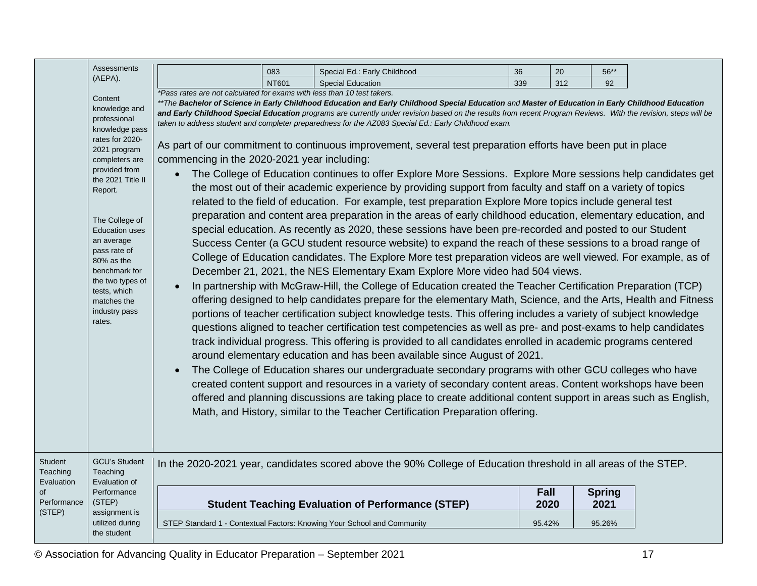|                                          | <b>Assessments</b>                                                                                                                                                                                                                                                                                                                                     |                                                                                                                                     | 083          | Special Ed.: Early Childhood                                                                                                                                                                                                                                                                                                                                                                                                                                                                                                                                                                                                                                                                                                                                                                                                                                                                                                                                                                                                                                                                                                                                                                                                                                                                                                                                                                                                                                                                                                                                                                                                                                                                                                                                                                                                                                                                                                                                                                                                                                                                                                                                                                                                                                                                                                                                                                                                                                                                                                          | 36     | 20  | 56**          |  |
|------------------------------------------|--------------------------------------------------------------------------------------------------------------------------------------------------------------------------------------------------------------------------------------------------------------------------------------------------------------------------------------------------------|-------------------------------------------------------------------------------------------------------------------------------------|--------------|---------------------------------------------------------------------------------------------------------------------------------------------------------------------------------------------------------------------------------------------------------------------------------------------------------------------------------------------------------------------------------------------------------------------------------------------------------------------------------------------------------------------------------------------------------------------------------------------------------------------------------------------------------------------------------------------------------------------------------------------------------------------------------------------------------------------------------------------------------------------------------------------------------------------------------------------------------------------------------------------------------------------------------------------------------------------------------------------------------------------------------------------------------------------------------------------------------------------------------------------------------------------------------------------------------------------------------------------------------------------------------------------------------------------------------------------------------------------------------------------------------------------------------------------------------------------------------------------------------------------------------------------------------------------------------------------------------------------------------------------------------------------------------------------------------------------------------------------------------------------------------------------------------------------------------------------------------------------------------------------------------------------------------------------------------------------------------------------------------------------------------------------------------------------------------------------------------------------------------------------------------------------------------------------------------------------------------------------------------------------------------------------------------------------------------------------------------------------------------------------------------------------------------------|--------|-----|---------------|--|
|                                          | (AEPA).                                                                                                                                                                                                                                                                                                                                                |                                                                                                                                     | <b>NT601</b> | <b>Special Education</b>                                                                                                                                                                                                                                                                                                                                                                                                                                                                                                                                                                                                                                                                                                                                                                                                                                                                                                                                                                                                                                                                                                                                                                                                                                                                                                                                                                                                                                                                                                                                                                                                                                                                                                                                                                                                                                                                                                                                                                                                                                                                                                                                                                                                                                                                                                                                                                                                                                                                                                              | 339    | 312 | 92            |  |
|                                          | Content<br>knowledge and<br>professional<br>knowledge pass<br>rates for 2020-<br>2021 program<br>completers are<br>provided from<br>the 2021 Title II<br>Report.<br>The College of<br><b>Education uses</b><br>an average<br>pass rate of<br>80% as the<br>benchmark for<br>the two types of<br>tests, which<br>matches the<br>industry pass<br>rates. | *Pass rates are not calculated for exams with less than 10 test takers.<br>commencing in the 2020-2021 year including:<br>$\bullet$ |              | **The Bachelor of Science in Early Childhood Education and Early Childhood Special Education and Master of Education in Early Childhood Education<br>and Early Childhood Special Education programs are currently under revision based on the results from recent Program Reviews. With the revision, steps will be<br>taken to address student and completer preparedness for the AZ083 Special Ed.: Early Childhood exam.<br>As part of our commitment to continuous improvement, several test preparation efforts have been put in place<br>The College of Education continues to offer Explore More Sessions. Explore More sessions help candidates get<br>the most out of their academic experience by providing support from faculty and staff on a variety of topics<br>related to the field of education. For example, test preparation Explore More topics include general test<br>preparation and content area preparation in the areas of early childhood education, elementary education, and<br>special education. As recently as 2020, these sessions have been pre-recorded and posted to our Student<br>Success Center (a GCU student resource website) to expand the reach of these sessions to a broad range of<br>College of Education candidates. The Explore More test preparation videos are well viewed. For example, as of<br>December 21, 2021, the NES Elementary Exam Explore More video had 504 views.<br>In partnership with McGraw-Hill, the College of Education created the Teacher Certification Preparation (TCP)<br>offering designed to help candidates prepare for the elementary Math, Science, and the Arts, Health and Fitness<br>portions of teacher certification subject knowledge tests. This offering includes a variety of subject knowledge<br>questions aligned to teacher certification test competencies as well as pre- and post-exams to help candidates<br>track individual progress. This offering is provided to all candidates enrolled in academic programs centered<br>around elementary education and has been available since August of 2021.<br>The College of Education shares our undergraduate secondary programs with other GCU colleges who have<br>created content support and resources in a variety of secondary content areas. Content workshops have been<br>offered and planning discussions are taking place to create additional content support in areas such as English,<br>Math, and History, similar to the Teacher Certification Preparation offering. |        |     |               |  |
| <b>Student</b><br>Teaching<br>Evaluation | <b>GCU's Student</b><br>Teaching<br>Evaluation of                                                                                                                                                                                                                                                                                                      |                                                                                                                                     |              | In the 2020-2021 year, candidates scored above the 90% College of Education threshold in all areas of the STEP.                                                                                                                                                                                                                                                                                                                                                                                                                                                                                                                                                                                                                                                                                                                                                                                                                                                                                                                                                                                                                                                                                                                                                                                                                                                                                                                                                                                                                                                                                                                                                                                                                                                                                                                                                                                                                                                                                                                                                                                                                                                                                                                                                                                                                                                                                                                                                                                                                       |        |     |               |  |
| of                                       | Performance                                                                                                                                                                                                                                                                                                                                            |                                                                                                                                     |              |                                                                                                                                                                                                                                                                                                                                                                                                                                                                                                                                                                                                                                                                                                                                                                                                                                                                                                                                                                                                                                                                                                                                                                                                                                                                                                                                                                                                                                                                                                                                                                                                                                                                                                                                                                                                                                                                                                                                                                                                                                                                                                                                                                                                                                                                                                                                                                                                                                                                                                                                       | Fall   |     | <b>Spring</b> |  |
| Performance                              | (STEP)                                                                                                                                                                                                                                                                                                                                                 |                                                                                                                                     |              | <b>Student Teaching Evaluation of Performance (STEP)</b>                                                                                                                                                                                                                                                                                                                                                                                                                                                                                                                                                                                                                                                                                                                                                                                                                                                                                                                                                                                                                                                                                                                                                                                                                                                                                                                                                                                                                                                                                                                                                                                                                                                                                                                                                                                                                                                                                                                                                                                                                                                                                                                                                                                                                                                                                                                                                                                                                                                                              | 2020   |     | 2021          |  |
| (STEP)                                   | assignment is                                                                                                                                                                                                                                                                                                                                          |                                                                                                                                     |              |                                                                                                                                                                                                                                                                                                                                                                                                                                                                                                                                                                                                                                                                                                                                                                                                                                                                                                                                                                                                                                                                                                                                                                                                                                                                                                                                                                                                                                                                                                                                                                                                                                                                                                                                                                                                                                                                                                                                                                                                                                                                                                                                                                                                                                                                                                                                                                                                                                                                                                                                       |        |     |               |  |
|                                          | utilized during<br>the student                                                                                                                                                                                                                                                                                                                         |                                                                                                                                     |              | STEP Standard 1 - Contextual Factors: Knowing Your School and Community                                                                                                                                                                                                                                                                                                                                                                                                                                                                                                                                                                                                                                                                                                                                                                                                                                                                                                                                                                                                                                                                                                                                                                                                                                                                                                                                                                                                                                                                                                                                                                                                                                                                                                                                                                                                                                                                                                                                                                                                                                                                                                                                                                                                                                                                                                                                                                                                                                                               | 95.42% |     | 95.26%        |  |
|                                          |                                                                                                                                                                                                                                                                                                                                                        |                                                                                                                                     |              |                                                                                                                                                                                                                                                                                                                                                                                                                                                                                                                                                                                                                                                                                                                                                                                                                                                                                                                                                                                                                                                                                                                                                                                                                                                                                                                                                                                                                                                                                                                                                                                                                                                                                                                                                                                                                                                                                                                                                                                                                                                                                                                                                                                                                                                                                                                                                                                                                                                                                                                                       |        |     |               |  |

© Association for Advancing Quality in Educator Preparation – September 2021 17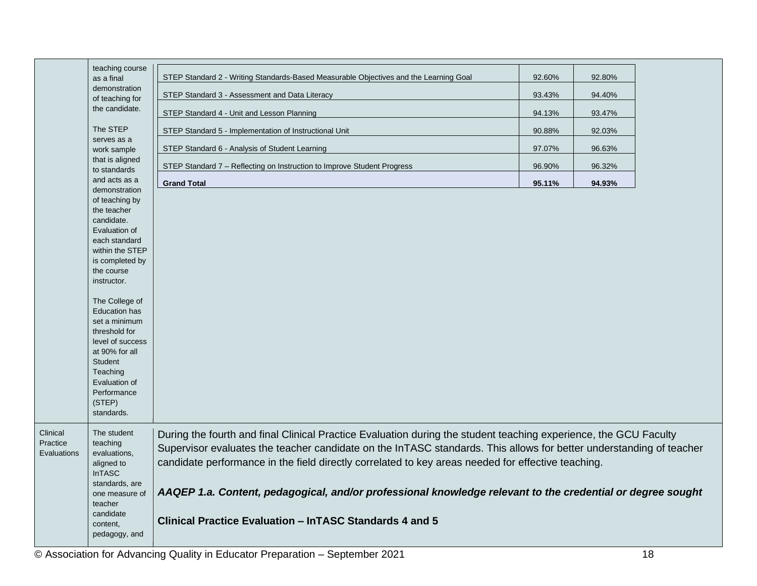|                      | teaching course                    |                                                                                                                     |        |        |  |
|----------------------|------------------------------------|---------------------------------------------------------------------------------------------------------------------|--------|--------|--|
|                      | as a final                         | STEP Standard 2 - Writing Standards-Based Measurable Objectives and the Learning Goal                               | 92.60% | 92.80% |  |
|                      | demonstration<br>of teaching for   | STEP Standard 3 - Assessment and Data Literacy                                                                      | 93.43% | 94.40% |  |
|                      | the candidate.                     | STEP Standard 4 - Unit and Lesson Planning                                                                          | 94.13% | 93.47% |  |
|                      | The STEP                           | STEP Standard 5 - Implementation of Instructional Unit                                                              | 90.88% | 92.03% |  |
|                      | serves as a<br>work sample         | STEP Standard 6 - Analysis of Student Learning                                                                      | 97.07% | 96.63% |  |
|                      | that is aligned<br>to standards    | STEP Standard 7 - Reflecting on Instruction to Improve Student Progress                                             | 96.90% | 96.32% |  |
|                      | and acts as a                      | <b>Grand Total</b>                                                                                                  | 95.11% | 94.93% |  |
|                      | demonstration                      |                                                                                                                     |        |        |  |
|                      | of teaching by<br>the teacher      |                                                                                                                     |        |        |  |
|                      | candidate.                         |                                                                                                                     |        |        |  |
|                      | Evaluation of                      |                                                                                                                     |        |        |  |
|                      | each standard<br>within the STEP   |                                                                                                                     |        |        |  |
|                      | is completed by                    |                                                                                                                     |        |        |  |
|                      | the course                         |                                                                                                                     |        |        |  |
|                      | instructor.                        |                                                                                                                     |        |        |  |
|                      | The College of                     |                                                                                                                     |        |        |  |
|                      | <b>Education has</b>               |                                                                                                                     |        |        |  |
|                      | set a minimum                      |                                                                                                                     |        |        |  |
|                      | threshold for                      |                                                                                                                     |        |        |  |
|                      | level of success<br>at 90% for all |                                                                                                                     |        |        |  |
|                      | <b>Student</b>                     |                                                                                                                     |        |        |  |
|                      | Teaching                           |                                                                                                                     |        |        |  |
|                      | Evaluation of                      |                                                                                                                     |        |        |  |
|                      | Performance                        |                                                                                                                     |        |        |  |
|                      | (STEP)                             |                                                                                                                     |        |        |  |
|                      | standards.                         |                                                                                                                     |        |        |  |
| Clinical<br>Practice | The student<br>teaching            | During the fourth and final Clinical Practice Evaluation during the student teaching experience, the GCU Faculty    |        |        |  |
| Evaluations          | evaluations,                       | Supervisor evaluates the teacher candidate on the InTASC standards. This allows for better understanding of teacher |        |        |  |
|                      | aligned to                         | candidate performance in the field directly correlated to key areas needed for effective teaching.                  |        |        |  |
|                      | <b>InTASC</b>                      |                                                                                                                     |        |        |  |
|                      | standards, are<br>one measure of   | AAQEP 1.a. Content, pedagogical, and/or professional knowledge relevant to the credential or degree sought          |        |        |  |
|                      | teacher                            |                                                                                                                     |        |        |  |
|                      | candidate                          | Clinical Practice Evaluation - InTASC Standards 4 and 5                                                             |        |        |  |
|                      | content,                           |                                                                                                                     |        |        |  |
|                      | pedagogy, and                      |                                                                                                                     |        |        |  |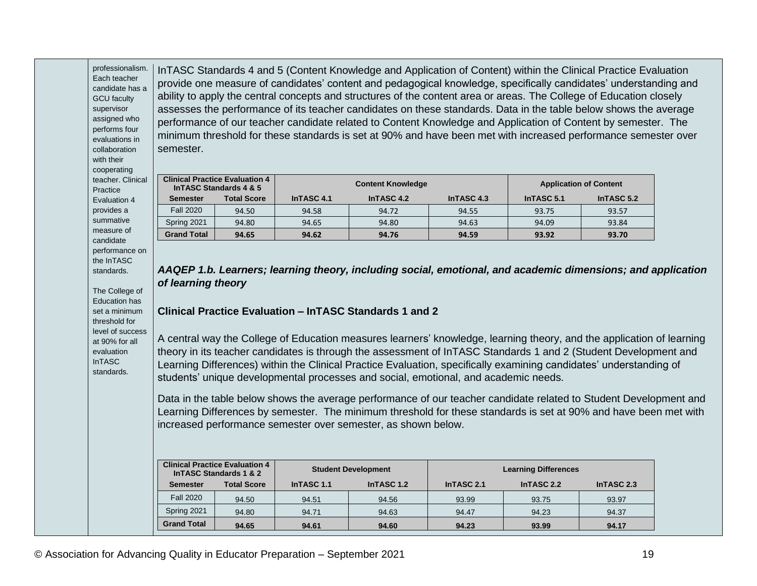professionalism. Each teacher candidate has a GCU faculty assigned who performs four evaluations in collaboration InTASC Standards 4 and 5 (Content Knowledge and Application of Content) within the Clinical Practice Evaluation provide one measure of candidates' content and pedagogical knowledge, specifically candidates' understanding and ability to apply the central concepts and structures of the content area or areas. The College of Education closely assesses the performance of its teacher candidates on these standards. Data in the table below shows the average performance of our teacher candidate related to Content Knowledge and Application of Content by semester. The minimum threshold for these standards is set at 90% and have been met with increased performance semester over semester.

| teacher, Clinical<br>Practice | <b>Clinical Practice Evaluation 4</b><br>In TASC Standards 4 & 5 |                    | <b>Content Knowledge</b> |            |                    | <b>Application of Content</b> |               |  |
|-------------------------------|------------------------------------------------------------------|--------------------|--------------------------|------------|--------------------|-------------------------------|---------------|--|
| Evaluation 4                  | <b>Semester</b>                                                  | <b>Total Score</b> | InTASC 4.1               | InTASC 4.2 | In <b>TASC</b> 4.3 | InTASC 5.1                    | In TASC $5.2$ |  |
| provides a                    | <b>Fall 2020</b>                                                 | 94.50              | 94.58                    | 94.72      | 94.55              | 93.75                         | 93.57         |  |
| summative                     | Spring 2021                                                      | 94.80              | 94.65                    | 94.80      | 94.63              | 94.09                         | 93.84         |  |
| measure of<br>condidato       | <b>Grand Total</b>                                               | 94.65              | 94.62                    | 94.76      | 94.59              | 93.92                         | 93.70         |  |

candidate performance on the InTASC standards.

supervisor

with their cooperating

The College of Education has set a minimum threshold for level of success at 90% for all evaluation InTASC standards.

*AAQEP 1.b. Learners; learning theory, including social, emotional, and academic dimensions; and application of learning theory*

#### **Clinical Practice Evaluation – InTASC Standards 1 and 2**

A central way the College of Education measures learners' knowledge, learning theory, and the application of learning theory in its teacher candidates is through the assessment of InTASC Standards 1 and 2 (Student Development and Learning Differences) within the Clinical Practice Evaluation, specifically examining candidates' understanding of students' unique developmental processes and social, emotional, and academic needs.

Data in the table below shows the average performance of our teacher candidate related to Student Development and Learning Differences by semester. The minimum threshold for these standards is set at 90% and have been met with increased performance semester over semester, as shown below.

| <b>Clinical Practice Evaluation 4</b><br>InTASC Standards 1 & 2 |                    | <b>Student Development</b> |            | <b>Learning Differences</b> |            |            |
|-----------------------------------------------------------------|--------------------|----------------------------|------------|-----------------------------|------------|------------|
| <b>Semester</b>                                                 | <b>Total Score</b> | InTASC 1.1                 | InTASC 1.2 | InTASC 2.1                  | InTASC 2.2 | InTASC 2.3 |
| <b>Fall 2020</b>                                                | 94.50              | 94.51                      | 94.56      | 93.99                       | 93.75      | 93.97      |
| Spring 2021                                                     | 94.80              | 94.71                      | 94.63      | 94.47                       | 94.23      | 94.37      |
| <b>Grand Total</b>                                              | 94.65              | 94.61                      | 94.60      | 94.23                       | 93.99      | 94.17      |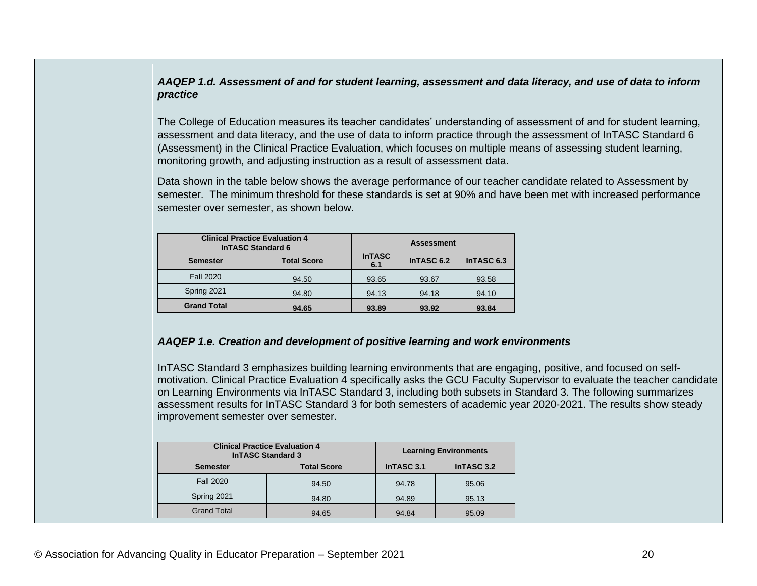#### *AAQEP 1.d. Assessment of and for student learning, assessment and data literacy, and use of data to inform practice*

The College of Education measures its teacher candidates' understanding of assessment of and for student learning, assessment and data literacy, and the use of data to inform practice through the assessment of InTASC Standard 6 (Assessment) in the Clinical Practice Evaluation, which focuses on multiple means of assessing student learning, monitoring growth, and adjusting instruction as a result of assessment data.

Data shown in the table below shows the average performance of our teacher candidate related to Assessment by semester. The minimum threshold for these standards is set at 90% and have been met with increased performance semester over semester, as shown below.

| <b>Clinical Practice Evaluation 4</b><br><b>InTASC Standard 6</b> | <b>Assessment</b>  |                      |            |            |
|-------------------------------------------------------------------|--------------------|----------------------|------------|------------|
| <b>Semester</b>                                                   | <b>Total Score</b> | <b>InTASC</b><br>6.1 | InTASC 6.2 | InTASC 6.3 |
| <b>Fall 2020</b>                                                  | 94.50              | 93.65                | 93.67      | 93.58      |
| Spring 2021                                                       | 94.80              | 94.13                | 94.18      | 94.10      |
| <b>Grand Total</b>                                                | 94.65              | 93.89                | 93.92      | 93.84      |

#### *AAQEP 1.e. Creation and development of positive learning and work environments*

InTASC Standard 3 emphasizes building learning environments that are engaging, positive, and focused on selfmotivation. Clinical Practice Evaluation 4 specifically asks the GCU Faculty Supervisor to evaluate the teacher candidate on Learning Environments via InTASC Standard 3, including both subsets in Standard 3. The following summarizes assessment results for InTASC Standard 3 for both semesters of academic year 2020-2021. The results show steady improvement semester over semester.

| <b>Clinical Practice Evaluation 4</b><br><b>InTASC Standard 3</b> |                    | <b>Learning Environments</b> |            |
|-------------------------------------------------------------------|--------------------|------------------------------|------------|
| <b>Semester</b>                                                   | <b>Total Score</b> | InTASC 3.1                   | InTASC 3.2 |
| <b>Fall 2020</b>                                                  | 94.50              | 94.78                        | 95.06      |
| Spring 2021                                                       | 94.80              | 94.89                        | 95.13      |
| <b>Grand Total</b>                                                | 94.65              | 94.84                        | 95.09      |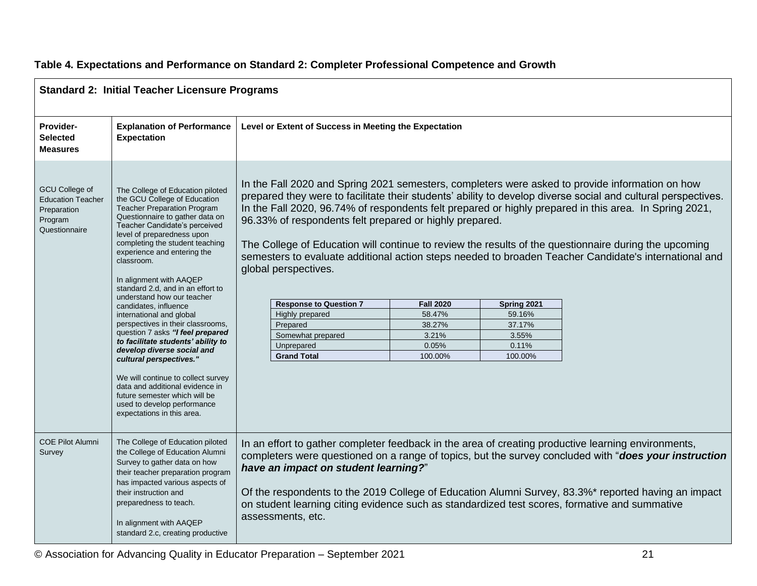| <b>Standard 2: Initial Teacher Licensure Programs</b>                                        |                                                                                                                                                                                                                                                                                                                                                                                                                                                                                                                                                                                                                                                                                                                                                                                            |                                                                                                                                                                                                                                                                                                                                                                                                                                                                                                                                                                                                                                                                                                                                                                                                                                                                                               |  |
|----------------------------------------------------------------------------------------------|--------------------------------------------------------------------------------------------------------------------------------------------------------------------------------------------------------------------------------------------------------------------------------------------------------------------------------------------------------------------------------------------------------------------------------------------------------------------------------------------------------------------------------------------------------------------------------------------------------------------------------------------------------------------------------------------------------------------------------------------------------------------------------------------|-----------------------------------------------------------------------------------------------------------------------------------------------------------------------------------------------------------------------------------------------------------------------------------------------------------------------------------------------------------------------------------------------------------------------------------------------------------------------------------------------------------------------------------------------------------------------------------------------------------------------------------------------------------------------------------------------------------------------------------------------------------------------------------------------------------------------------------------------------------------------------------------------|--|
| Provider-<br><b>Selected</b><br><b>Measures</b>                                              | <b>Explanation of Performance</b><br><b>Expectation</b>                                                                                                                                                                                                                                                                                                                                                                                                                                                                                                                                                                                                                                                                                                                                    | Level or Extent of Success in Meeting the Expectation                                                                                                                                                                                                                                                                                                                                                                                                                                                                                                                                                                                                                                                                                                                                                                                                                                         |  |
| <b>GCU College of</b><br><b>Education Teacher</b><br>Preparation<br>Program<br>Questionnaire | The College of Education piloted<br>the GCU College of Education<br><b>Teacher Preparation Program</b><br>Questionnaire to gather data on<br>Teacher Candidate's perceived<br>level of preparedness upon<br>completing the student teaching<br>experience and entering the<br>classroom.<br>In alignment with AAQEP<br>standard 2.d, and in an effort to<br>understand how our teacher<br>candidates, influence<br>international and global<br>perspectives in their classrooms,<br>question 7 asks "I feel prepared<br>to facilitate students' ability to<br>develop diverse social and<br>cultural perspectives."<br>We will continue to collect survey<br>data and additional evidence in<br>future semester which will be<br>used to develop performance<br>expectations in this area. | In the Fall 2020 and Spring 2021 semesters, completers were asked to provide information on how<br>prepared they were to facilitate their students' ability to develop diverse social and cultural perspectives.<br>In the Fall 2020, 96.74% of respondents felt prepared or highly prepared in this area. In Spring 2021,<br>96.33% of respondents felt prepared or highly prepared.<br>The College of Education will continue to review the results of the questionnaire during the upcoming<br>semesters to evaluate additional action steps needed to broaden Teacher Candidate's international and<br>global perspectives.<br><b>Response to Question 7</b><br><b>Fall 2020</b><br>Spring 2021<br>Highly prepared<br>58.47%<br>59.16%<br>Prepared<br>38.27%<br>37.17%<br>Somewhat prepared<br>3.21%<br>3.55%<br>Unprepared<br>0.05%<br>0.11%<br><b>Grand Total</b><br>100.00%<br>100.00% |  |
| <b>COE Pilot Alumni</b><br>Survey                                                            | The College of Education piloted<br>the College of Education Alumni<br>Survey to gather data on how<br>their teacher preparation program<br>has impacted various aspects of<br>their instruction and<br>preparedness to teach.<br>In alignment with AAQEP<br>standard 2.c, creating productive                                                                                                                                                                                                                                                                                                                                                                                                                                                                                             | In an effort to gather completer feedback in the area of creating productive learning environments,<br>completers were questioned on a range of topics, but the survey concluded with "does your instruction<br>have an impact on student learning?"<br>Of the respondents to the 2019 College of Education Alumni Survey, 83.3%* reported having an impact<br>on student learning citing evidence such as standardized test scores, formative and summative<br>assessments, etc.                                                                                                                                                                                                                                                                                                                                                                                                             |  |

#### **Table 4. Expectations and Performance on Standard 2: Completer Professional Competence and Growth**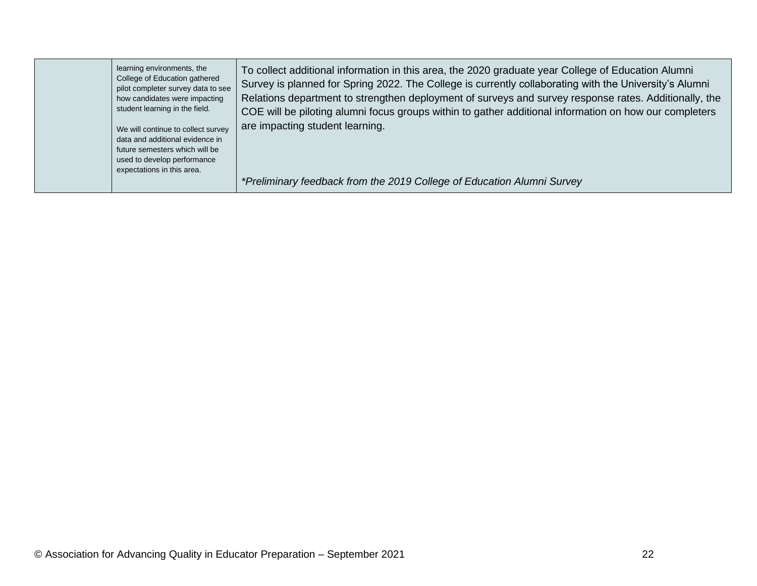| learning environments, the<br>College of Education gathered<br>pilot completer survey data to see<br>how candidates were impacting<br>student learning in the field.<br>We will continue to collect survey<br>data and additional evidence in<br>future semesters which will be<br>used to develop performance<br>expectations in this area. | To collect additional information in this area, the 2020 graduate year College of Education Alumni<br>Survey is planned for Spring 2022. The College is currently collaborating with the University's Alumni<br>Relations department to strengthen deployment of surveys and survey response rates. Additionally, the<br>COE will be piloting alumni focus groups within to gather additional information on how our completers<br>are impacting student learning. |
|----------------------------------------------------------------------------------------------------------------------------------------------------------------------------------------------------------------------------------------------------------------------------------------------------------------------------------------------|--------------------------------------------------------------------------------------------------------------------------------------------------------------------------------------------------------------------------------------------------------------------------------------------------------------------------------------------------------------------------------------------------------------------------------------------------------------------|
|                                                                                                                                                                                                                                                                                                                                              | *Preliminary feedback from the 2019 College of Education Alumni Survey                                                                                                                                                                                                                                                                                                                                                                                             |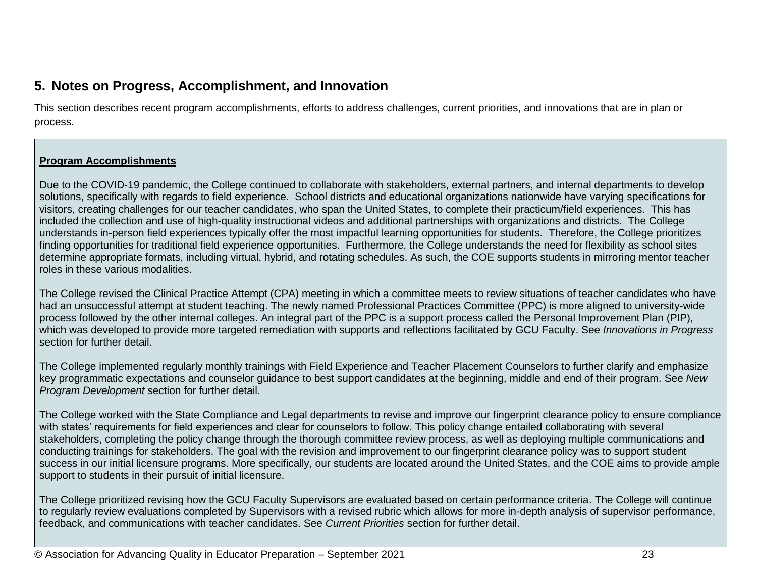## **5. Notes on Progress, Accomplishment, and Innovation**

This section describes recent program accomplishments, efforts to address challenges, current priorities, and innovations that are in plan or process.

#### **Program Accomplishments**

Due to the COVID-19 pandemic, the College continued to collaborate with stakeholders, external partners, and internal departments to develop solutions, specifically with regards to field experience. School districts and educational organizations nationwide have varying specifications for visitors, creating challenges for our teacher candidates, who span the United States, to complete their practicum/field experiences. This has included the collection and use of high-quality instructional videos and additional partnerships with organizations and districts. The College understands in-person field experiences typically offer the most impactful learning opportunities for students. Therefore, the College prioritizes finding opportunities for traditional field experience opportunities. Furthermore, the College understands the need for flexibility as school sites determine appropriate formats, including virtual, hybrid, and rotating schedules. As such, the COE supports students in mirroring mentor teacher roles in these various modalities.

The College revised the Clinical Practice Attempt (CPA) meeting in which a committee meets to review situations of teacher candidates who have had an unsuccessful attempt at student teaching. The newly named Professional Practices Committee (PPC) is more aligned to university-wide process followed by the other internal colleges. An integral part of the PPC is a support process called the Personal Improvement Plan (PIP), which was developed to provide more targeted remediation with supports and reflections facilitated by GCU Faculty. See *Innovations in Progress* section for further detail.

The College implemented regularly monthly trainings with Field Experience and Teacher Placement Counselors to further clarify and emphasize key programmatic expectations and counselor guidance to best support candidates at the beginning, middle and end of their program. See *New Program Development* section for further detail.

The College worked with the State Compliance and Legal departments to revise and improve our fingerprint clearance policy to ensure compliance with states' requirements for field experiences and clear for counselors to follow. This policy change entailed collaborating with several stakeholders, completing the policy change through the thorough committee review process, as well as deploying multiple communications and conducting trainings for stakeholders. The goal with the revision and improvement to our fingerprint clearance policy was to support student success in our initial licensure programs. More specifically, our students are located around the United States, and the COE aims to provide ample support to students in their pursuit of initial licensure.

The College prioritized revising how the GCU Faculty Supervisors are evaluated based on certain performance criteria. The College will continue to regularly review evaluations completed by Supervisors with a revised rubric which allows for more in-depth analysis of supervisor performance, feedback, and communications with teacher candidates. See *Current Priorities* section for further detail.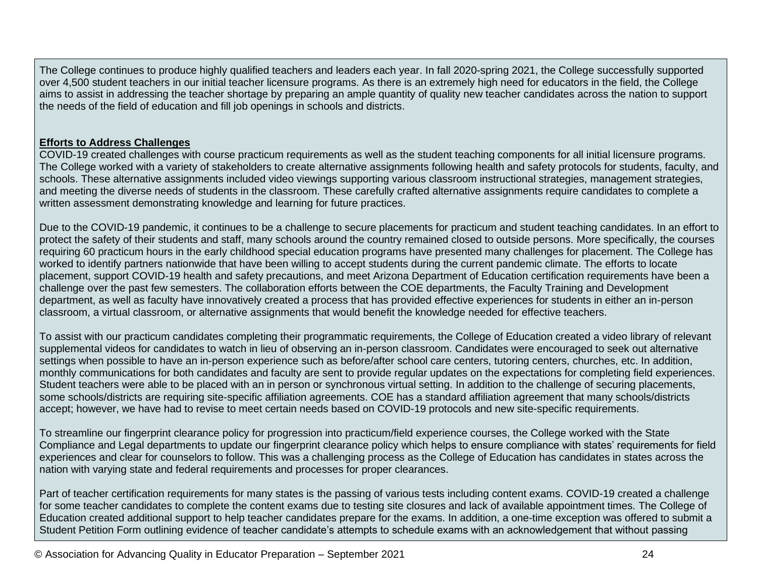The College continues to produce highly qualified teachers and leaders each year. In fall 2020-spring 2021, the College successfully supported over 4,500 student teachers in our initial teacher licensure programs. As there is an extremely high need for educators in the field, the College aims to assist in addressing the teacher shortage by preparing an ample quantity of quality new teacher candidates across the nation to support the needs of the field of education and fill job openings in schools and districts.

#### **Efforts to Address Challenges**

COVID-19 created challenges with course practicum requirements as well as the student teaching components for all initial licensure programs. The College worked with a variety of stakeholders to create alternative assignments following health and safety protocols for students, faculty, and schools. These alternative assignments included video viewings supporting various classroom instructional strategies, management strategies, and meeting the diverse needs of students in the classroom. These carefully crafted alternative assignments require candidates to complete a written assessment demonstrating knowledge and learning for future practices.

Due to the COVID-19 pandemic, it continues to be a challenge to secure placements for practicum and student teaching candidates. In an effort to protect the safety of their students and staff, many schools around the country remained closed to outside persons. More specifically, the courses requiring 60 practicum hours in the early childhood special education programs have presented many challenges for placement. The College has worked to identify partners nationwide that have been willing to accept students during the current pandemic climate. The efforts to locate placement, support COVID-19 health and safety precautions, and meet Arizona Department of Education certification requirements have been a challenge over the past few semesters. The collaboration efforts between the COE departments, the Faculty Training and Development department, as well as faculty have innovatively created a process that has provided effective experiences for students in either an in-person classroom, a virtual classroom, or alternative assignments that would benefit the knowledge needed for effective teachers.

To assist with our practicum candidates completing their programmatic requirements, the College of Education created a video library of relevant supplemental videos for candidates to watch in lieu of observing an in-person classroom. Candidates were encouraged to seek out alternative settings when possible to have an in-person experience such as before/after school care centers, tutoring centers, churches, etc. In addition, monthly communications for both candidates and faculty are sent to provide regular updates on the expectations for completing field experiences. Student teachers were able to be placed with an in person or synchronous virtual setting. In addition to the challenge of securing placements, some schools/districts are requiring site-specific affiliation agreements. COE has a standard affiliation agreement that many schools/districts accept; however, we have had to revise to meet certain needs based on COVID-19 protocols and new site-specific requirements.

To streamline our fingerprint clearance policy for progression into practicum/field experience courses, the College worked with the State Compliance and Legal departments to update our fingerprint clearance policy which helps to ensure compliance with states' requirements for field experiences and clear for counselors to follow. This was a challenging process as the College of Education has candidates in states across the nation with varying state and federal requirements and processes for proper clearances.

Part of teacher certification requirements for many states is the passing of various tests including content exams. COVID-19 created a challenge for some teacher candidates to complete the content exams due to testing site closures and lack of available appointment times. The College of Education created additional support to help teacher candidates prepare for the exams. In addition, a one-time exception was offered to submit a Student Petition Form outlining evidence of teacher candidate's attempts to schedule exams with an acknowledgement that without passing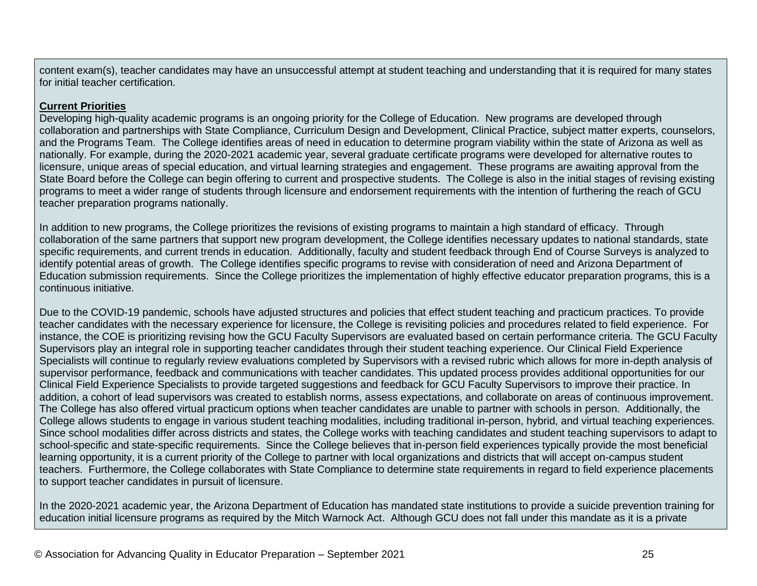content exam(s), teacher candidates may have an unsuccessful attempt at student teaching and understanding that it is required for many states for initial teacher certification.

#### **Current Priorities**

Developing high-quality academic programs is an ongoing priority for the College of Education. New programs are developed through collaboration and partnerships with State Compliance, Curriculum Design and Development, Clinical Practice, subject matter experts, counselors, and the Programs Team. The College identifies areas of need in education to determine program viability within the state of Arizona as well as nationally. For example, during the 2020-2021 academic year, several graduate certificate programs were developed for alternative routes to licensure, unique areas of special education, and virtual learning strategies and engagement. These programs are awaiting approval from the State Board before the College can begin offering to current and prospective students. The College is also in the initial stages of revising existing programs to meet a wider range of students through licensure and endorsement requirements with the intention of furthering the reach of GCU teacher preparation programs nationally.

In addition to new programs, the College prioritizes the revisions of existing programs to maintain a high standard of efficacy. Through collaboration of the same partners that support new program development, the College identifies necessary updates to national standards, state specific requirements, and current trends in education. Additionally, faculty and student feedback through End of Course Surveys is analyzed to identify potential areas of growth. The College identifies specific programs to revise with consideration of need and Arizona Department of Education submission requirements. Since the College prioritizes the implementation of highly effective educator preparation programs, this is a continuous initiative.

Due to the COVID-19 pandemic, schools have adjusted structures and policies that effect student teaching and practicum practices. To provide teacher candidates with the necessary experience for licensure, the College is revisiting policies and procedures related to field experience. For instance, the COE is prioritizing revising how the GCU Faculty Supervisors are evaluated based on certain performance criteria. The GCU Faculty Supervisors play an integral role in supporting teacher candidates through their student teaching experience. Our Clinical Field Experience Specialists will continue to regularly review evaluations completed by Supervisors with a revised rubric which allows for more in-depth analysis of supervisor performance, feedback and communications with teacher candidates. This updated process provides additional opportunities for our Clinical Field Experience Specialists to provide targeted suggestions and feedback for GCU Faculty Supervisors to improve their practice. In addition, a cohort of lead supervisors was created to establish norms, assess expectations, and collaborate on areas of continuous improvement. The College has also offered virtual practicum options when teacher candidates are unable to partner with schools in person. Additionally, the College allows students to engage in various student teaching modalities, including traditional in-person, hybrid, and virtual teaching experiences. Since school modalities differ across districts and states, the College works with teaching candidates and student teaching supervisors to adapt to school-specific and state-specific requirements. Since the College believes that in-person field experiences typically provide the most beneficial learning opportunity, it is a current priority of the College to partner with local organizations and districts that will accept on-campus student teachers. Furthermore, the College collaborates with State Compliance to determine state requirements in regard to field experience placements to support teacher candidates in pursuit of licensure.

In the 2020-2021 academic year, the Arizona Department of Education has mandated state institutions to provide a suicide prevention training for education initial licensure programs as required by the Mitch Warnock Act. Although GCU does not fall under this mandate as it is a private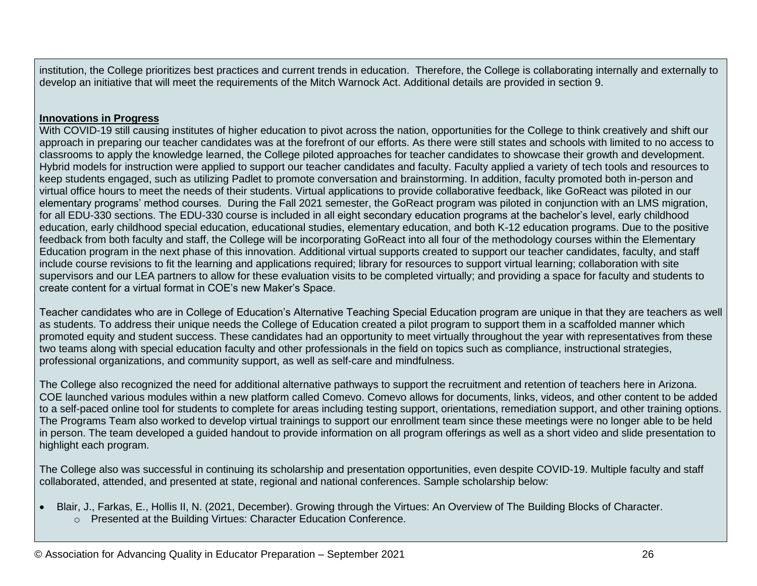institution, the College prioritizes best practices and current trends in education. Therefore, the College is collaborating internally and externally to develop an initiative that will meet the requirements of the Mitch Warnock Act. Additional details are provided in section 9.

#### **Innovations in Progress**

With COVID-19 still causing institutes of higher education to pivot across the nation, opportunities for the College to think creatively and shift our approach in preparing our teacher candidates was at the forefront of our efforts. As there were still states and schools with limited to no access to classrooms to apply the knowledge learned, the College piloted approaches for teacher candidates to showcase their growth and development. Hybrid models for instruction were applied to support our teacher candidates and faculty. Faculty applied a variety of tech tools and resources to keep students engaged, such as utilizing Padlet to promote conversation and brainstorming. In addition, faculty promoted both in-person and virtual office hours to meet the needs of their students. Virtual applications to provide collaborative feedback, like GoReact was piloted in our elementary programs' method courses. During the Fall 2021 semester, the GoReact program was piloted in conjunction with an LMS migration, for all EDU-330 sections. The EDU-330 course is included in all eight secondary education programs at the bachelor's level, early childhood education, early childhood special education, educational studies, elementary education, and both K-12 education programs. Due to the positive feedback from both faculty and staff, the College will be incorporating GoReact into all four of the methodology courses within the Elementary Education program in the next phase of this innovation. Additional virtual supports created to support our teacher candidates, faculty, and staff include course revisions to fit the learning and applications required; library for resources to support virtual learning; collaboration with site supervisors and our LEA partners to allow for these evaluation visits to be completed virtually; and providing a space for faculty and students to create content for a virtual format in COE's new Maker's Space.

Teacher candidates who are in College of Education's Alternative Teaching Special Education program are unique in that they are teachers as well as students. To address their unique needs the College of Education created a pilot program to support them in a scaffolded manner which promoted equity and student success. These candidates had an opportunity to meet virtually throughout the year with representatives from these two teams along with special education faculty and other professionals in the field on topics such as compliance, instructional strategies, professional organizations, and community support, as well as self-care and mindfulness.

The College also recognized the need for additional alternative pathways to support the recruitment and retention of teachers here in Arizona. COE launched various modules within a new platform called Comevo. Comevo allows for documents, links, videos, and other content to be added to a self-paced online tool for students to complete for areas including testing support, orientations, remediation support, and other training options. The Programs Team also worked to develop virtual trainings to support our enrollment team since these meetings were no longer able to be held in person. The team developed a guided handout to provide information on all program offerings as well as a short video and slide presentation to highlight each program.

The College also was successful in continuing its scholarship and presentation opportunities, even despite COVID-19. Multiple faculty and staff collaborated, attended, and presented at state, regional and national conferences. Sample scholarship below:

- Blair, J., Farkas, E., Hollis II, N. (2021, December). Growing through the Virtues: An Overview of The Building Blocks of Character.
	- o Presented at the Building Virtues: Character Education Conference.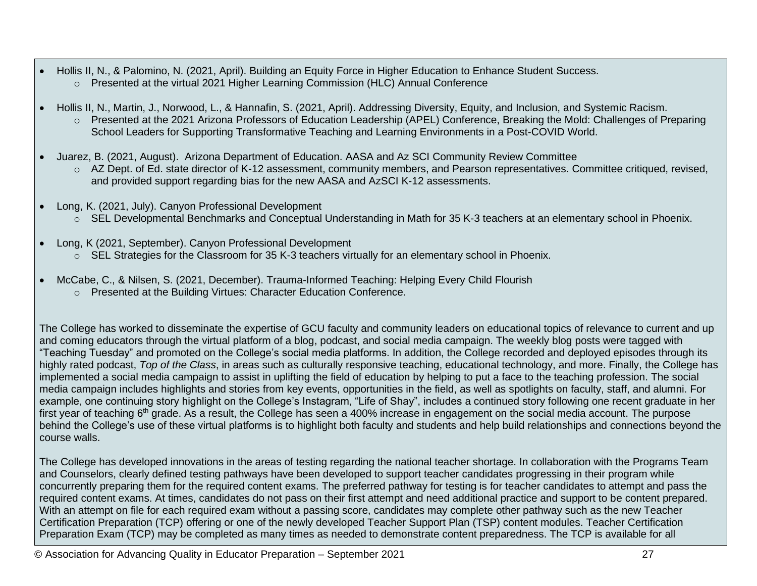- Hollis II, N., & Palomino, N. (2021, April). Building an Equity Force in Higher Education to Enhance Student Success.
	- o Presented at the virtual 2021 Higher Learning Commission (HLC) Annual Conference
- Hollis II, N., Martin, J., Norwood, L., & Hannafin, S. (2021, April). Addressing Diversity, Equity, and Inclusion, and Systemic Racism. o Presented at the 2021 Arizona Professors of Education Leadership (APEL) Conference, Breaking the Mold: Challenges of Preparing School Leaders for Supporting Transformative Teaching and Learning Environments in a Post-COVID World.
- Juarez, B. (2021, August). Arizona Department of Education. AASA and Az SCI Community Review Committee
	- o AZ Dept. of Ed. state director of K-12 assessment, community members, and Pearson representatives. Committee critiqued, revised, and provided support regarding bias for the new AASA and AzSCI K-12 assessments.
- Long, K. (2021, July). Canyon Professional Development
	- o SEL Developmental Benchmarks and Conceptual Understanding in Math for 35 K-3 teachers at an elementary school in Phoenix.
- Long, K (2021, September). Canyon Professional Development
	- o SEL Strategies for the Classroom for 35 K-3 teachers virtually for an elementary school in Phoenix.
- McCabe, C., & Nilsen, S. (2021, December). Trauma-Informed Teaching: Helping Every Child Flourish
	- o Presented at the Building Virtues: Character Education Conference.

The College has worked to disseminate the expertise of GCU faculty and community leaders on educational topics of relevance to current and up and coming educators through the virtual platform of a blog, podcast, and social media campaign. The weekly blog posts were tagged with "Teaching Tuesday" and promoted on the College's social media platforms. In addition, the College recorded and deployed episodes through its highly rated podcast, *Top of the Class*, in areas such as culturally responsive teaching, educational technology, and more. Finally, the College has implemented a social media campaign to assist in uplifting the field of education by helping to put a face to the teaching profession. The social media campaign includes highlights and stories from key events, opportunities in the field, as well as spotlights on faculty, staff, and alumni. For example, one continuing story highlight on the College's Instagram, "Life of Shay", includes a continued story following one recent graduate in her first year of teaching 6<sup>th</sup> grade. As a result, the College has seen a 400% increase in engagement on the social media account. The purpose behind the College's use of these virtual platforms is to highlight both faculty and students and help build relationships and connections beyond the course walls.

The College has developed innovations in the areas of testing regarding the national teacher shortage. In collaboration with the Programs Team and Counselors, clearly defined testing pathways have been developed to support teacher candidates progressing in their program while concurrently preparing them for the required content exams. The preferred pathway for testing is for teacher candidates to attempt and pass the required content exams. At times, candidates do not pass on their first attempt and need additional practice and support to be content prepared. With an attempt on file for each required exam without a passing score, candidates may complete other pathway such as the new Teacher Certification Preparation (TCP) offering or one of the newly developed Teacher Support Plan (TSP) content modules. Teacher Certification Preparation Exam (TCP) may be completed as many times as needed to demonstrate content preparedness. The TCP is available for all